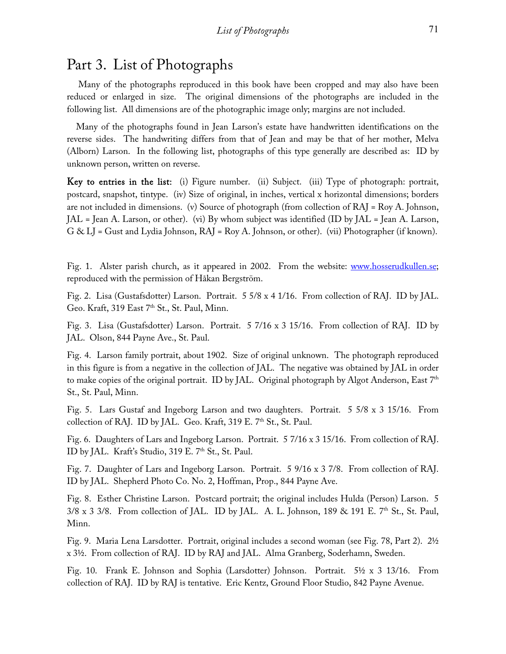## Part 3. List of Photographs

 Many of the photographs reproduced in this book have been cropped and may also have been reduced or enlarged in size. The original dimensions of the photographs are included in the following list. All dimensions are of the photographic image only; margins are not included.

 Many of the photographs found in Jean Larson's estate have handwritten identifications on the reverse sides. The handwriting differs from that of Jean and may be that of her mother, Melva (Alborn) Larson. In the following list, photographs of this type generally are described as: ID by unknown person, written on reverse.

Key to entries in the list: (i) Figure number. (ii) Subject. (iii) Type of photograph: portrait, postcard, snapshot, tintype. (iv) Size of original, in inches, vertical x horizontal dimensions; borders are not included in dimensions. (v) Source of photograph (from collection of RAJ = Roy A. Johnson, JAL = Jean A. Larson, or other). (vi) By whom subject was identified (ID by JAL = Jean A. Larson, G & LJ = Gust and Lydia Johnson, RAJ = Roy A. Johnson, or other). (vii) Photographer (if known).

Fig. 1. Alster parish church, as it appeared in 2002. From the website: [www.hosserudkullen.se;](http://www.hosserudkullen.se/) reproduced with the permission of Håkan Bergström.

Fig. 2. Lisa (Gustafsdotter) Larson. Portrait. 5 5/8 x 4 1/16. From collection of RAJ. ID by JAL. Geo. Kraft, 319 East 7<sup>th</sup> St., St. Paul, Minn.

Fig. 3. Lisa (Gustafsdotter) Larson. Portrait. 5 7/16 x 3 15/16. From collection of RAJ. ID by JAL. Olson, 844 Payne Ave., St. Paul.

Fig. 4. Larson family portrait, about 1902. Size of original unknown. The photograph reproduced in this figure is from a negative in the collection of JAL. The negative was obtained by JAL in order to make copies of the original portrait. ID by JAL. Original photograph by Algot Anderson, East  $7<sup>th</sup>$ St., St. Paul, Minn.

Fig. 5. Lars Gustaf and Ingeborg Larson and two daughters. Portrait. 5 5/8 x 3 15/16. From collection of RAJ. ID by JAL. Geo. Kraft, 319 E. 7th St., St. Paul.

Fig. 6. Daughters of Lars and Ingeborg Larson. Portrait. 5 7/16 x 3 15/16. From collection of RAJ. ID by JAL. Kraft's Studio, 319 E. 7<sup>th</sup> St., St. Paul.

Fig. 7. Daughter of Lars and Ingeborg Larson. Portrait. 5 9/16 x 3 7/8. From collection of RAJ. ID by JAL. Shepherd Photo Co. No. 2, Hoffman, Prop., 844 Payne Ave.

Fig. 8. Esther Christine Larson. Postcard portrait; the original includes Hulda (Person) Larson. 5  $3/8 \times 3$  3/8. From collection of JAL. ID by JAL. A. L. Johnson, 189 & 191 E. 7<sup>th</sup> St., St. Paul, Minn.

Fig. 9. Maria Lena Larsdotter. Portrait, original includes a second woman (see Fig. 78, Part 2). 2½ x 3½. From collection of RAJ. ID by RAJ and JAL. Alma Granberg, Soderhamn, Sweden.

Fig. 10. Frank E. Johnson and Sophia (Larsdotter) Johnson. Portrait. 5½ x 3 13/16. From collection of RAJ. ID by RAJ is tentative. Eric Kentz, Ground Floor Studio, 842 Payne Avenue.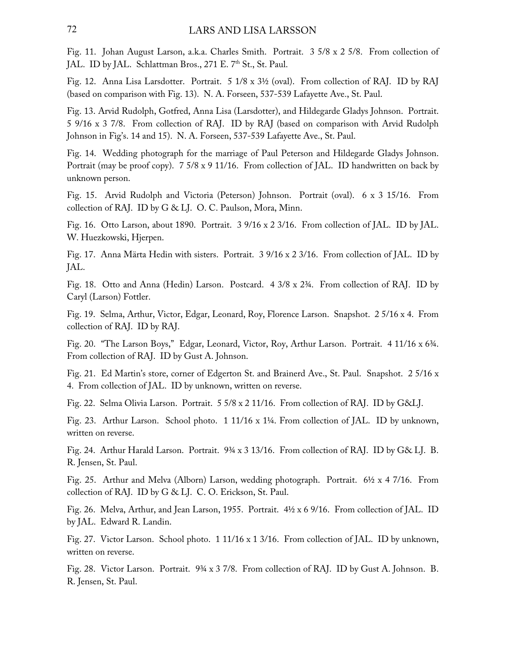Fig. 11. Johan August Larson, a.k.a. Charles Smith. Portrait. 3 5/8 x 2 5/8. From collection of JAL. ID by JAL. Schlattman Bros., 271 E. 7<sup>th</sup> St., St. Paul.

Fig. 12. Anna Lisa Larsdotter. Portrait. 5 1/8 x 3½ (oval). From collection of RAJ. ID by RAJ (based on comparison with Fig. 13). N. A. Forseen, 537-539 Lafayette Ave., St. Paul.

Fig. 13. Arvid Rudolph, Gotfred, Anna Lisa (Larsdotter), and Hildegarde Gladys Johnson. Portrait. 5 9/16 x 3 7/8. From collection of RAJ. ID by RAJ (based on comparison with Arvid Rudolph Johnson in Fig's. 14 and 15). N. A. Forseen, 537-539 Lafayette Ave., St. Paul.

Fig. 14. Wedding photograph for the marriage of Paul Peterson and Hildegarde Gladys Johnson. Portrait (may be proof copy). 7 5/8 x 9 11/16. From collection of JAL. ID handwritten on back by unknown person.

Fig. 15. Arvid Rudolph and Victoria (Peterson) Johnson. Portrait (oval). 6 x 3 15/16. From collection of RAJ. ID by G & LJ. O. C. Paulson, Mora, Minn.

Fig. 16. Otto Larson, about 1890. Portrait. 3 9/16 x 2 3/16. From collection of JAL. ID by JAL. W. Huezkowski, Hjerpen.

Fig. 17. Anna Märta Hedin with sisters. Portrait. 3 9/16 x 2 3/16. From collection of JAL. ID by JAL.

Fig. 18. Otto and Anna (Hedin) Larson. Postcard. 4 3/8 x 2¾. From collection of RAJ. ID by Caryl (Larson) Fottler.

Fig. 19. Selma, Arthur, Victor, Edgar, Leonard, Roy, Florence Larson. Snapshot. 2 5/16 x 4. From collection of RAJ. ID by RAJ.

Fig. 20. "The Larson Boys," Edgar, Leonard, Victor, Roy, Arthur Larson. Portrait. 4 11/16 x 6¾. From collection of RAJ. ID by Gust A. Johnson.

Fig. 21. Ed Martin's store, corner of Edgerton St. and Brainerd Ave., St. Paul. Snapshot. 2 5/16 x 4. From collection of JAL. ID by unknown, written on reverse.

Fig. 22. Selma Olivia Larson. Portrait. 5 5/8 x 2 11/16. From collection of RAJ. ID by G&LJ.

Fig. 23. Arthur Larson. School photo. 1 11/16 x 1¼. From collection of JAL. ID by unknown, written on reverse.

Fig. 24. Arthur Harald Larson. Portrait. 9¾ x 3 13/16. From collection of RAJ. ID by G& LJ. B. R. Jensen, St. Paul.

Fig. 25. Arthur and Melva (Alborn) Larson, wedding photograph. Portrait. 6½ x 4 7/16. From collection of RAJ. ID by G & LJ. C. O. Erickson, St. Paul.

Fig. 26. Melva, Arthur, and Jean Larson, 1955. Portrait. 4½ x 6 9/16. From collection of JAL. ID by JAL. Edward R. Landin.

Fig. 27. Victor Larson. School photo. 1 11/16 x 1 3/16. From collection of JAL. ID by unknown, written on reverse.

Fig. 28. Victor Larson. Portrait. 9¾ x 3 7/8. From collection of RAJ. ID by Gust A. Johnson. B. R. Jensen, St. Paul.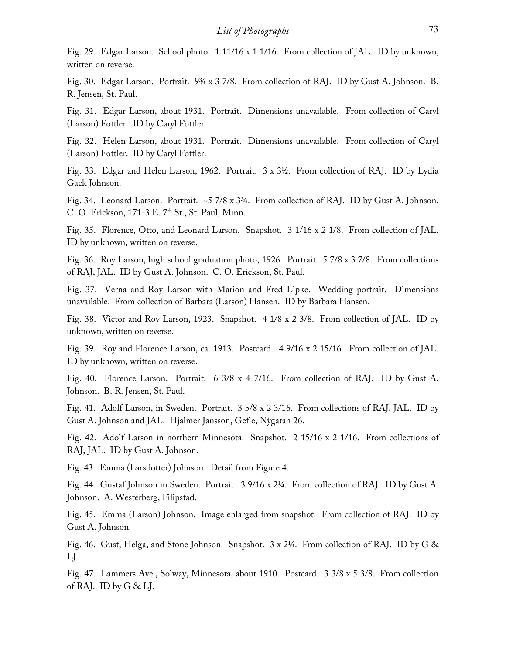Fig. 29. Edgar Larson. School photo. 1 11/16 x 1 1/16. From collection of JAL. ID by unknown, written on reverse.

Fig. 30. Edgar Larson. Portrait. 9¾ x 3 7/8. From collection of RAJ. ID by Gust A. Johnson. B. R. Jensen, St. Paul.

Fig. 31. Edgar Larson, about 1931. Portrait. Dimensions unavailable. From collection of Caryl (Larson) Fottler. ID by Caryl Fottler.

Fig. 32. Helen Larson, about 1931. Portrait. Dimensions unavailable. From collection of Caryl (Larson) Fottler. ID by Caryl Fottler.

Fig. 33. Edgar and Helen Larson, 1962. Portrait. 3 x 3½. From collection of RAJ. ID by Lydia Gack Johnson.

Fig. 34. Leonard Larson. Portrait. ~5 7/8 x 3¾. From collection of RAJ. ID by Gust A. Johnson. C. O. Erickson, 171-3 E. 7<sup>th</sup> St., St. Paul, Minn.

Fig. 35. Florence, Otto, and Leonard Larson. Snapshot. 3 1/16 x 2 1/8. From collection of JAL. ID by unknown, written on reverse.

Fig. 36. Roy Larson, high school graduation photo, 1926. Portrait. 5 7/8 x 3 7/8. From collections of RAJ, JAL. ID by Gust A. Johnson. C. O. Erickson, St. Paul.

Fig. 37. Verna and Roy Larson with Marion and Fred Lipke. Wedding portrait. Dimensions unavailable. From collection of Barbara (Larson) Hansen. ID by Barbara Hansen.

Fig. 38. Victor and Roy Larson, 1923. Snapshot. 4 1/8 x 2 3/8. From collection of JAL. ID by unknown, written on reverse.

Fig. 39. Roy and Florence Larson, ca. 1913. Postcard. 4 9/16 x 2 15/16. From collection of JAL. ID by unknown, written on reverse.

Fig. 40. Florence Larson. Portrait. 6 3/8 x 4 7/16. From collection of RAJ. ID by Gust A. Johnson. B. R. Jensen, St. Paul.

Fig. 41. Adolf Larson, in Sweden. Portrait. 3 5/8 x 2 3/16. From collections of RAJ, JAL. ID by Gust A. Johnson and JAL. Hjalmer Jansson, Gefle, Nÿgatan 26.

Fig. 42. Adolf Larson in northern Minnesota. Snapshot. 2 15/16 x 2 1/16. From collections of RAJ, JAL. ID by Gust A. Johnson.

Fig. 43. Emma (Larsdotter) Johnson. Detail from Figure 4.

Fig. 44. Gustaf Johnson in Sweden. Portrait. 3 9/16 x 2¼. From collection of RAJ. ID by Gust A. Johnson. A. Westerberg, Filipstad.

Fig. 45. Emma (Larson) Johnson. Image enlarged from snapshot. From collection of RAJ. ID by Gust A. Johnson.

Fig. 46. Gust, Helga, and Stone Johnson. Snapshot. 3 x 2¼. From collection of RAJ. ID by G & LJ.

Fig. 47. Lammers Ave., Solway, Minnesota, about 1910. Postcard. 3 3/8 x 5 3/8. From collection of RAJ. ID by  $G &L$ .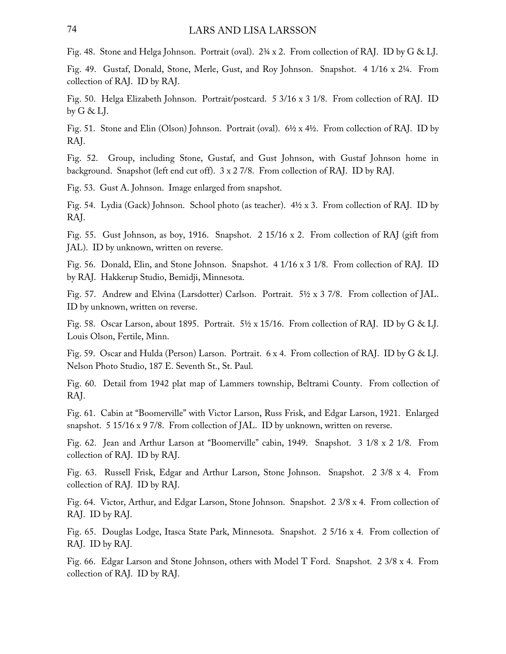Fig. 48. Stone and Helga Johnson. Portrait (oval). 2¾ x 2. From collection of RAJ. ID by G & LJ.

Fig. 49. Gustaf, Donald, Stone, Merle, Gust, and Roy Johnson. Snapshot. 4 1/16 x 2¼. From collection of RAJ. ID by RAJ.

Fig. 50. Helga Elizabeth Johnson. Portrait/postcard. 5 3/16 x 3 1/8. From collection of RAJ. ID by  $G \& L$ .

Fig. 51. Stone and Elin (Olson) Johnson. Portrait (oval). 6½ x 4½. From collection of RAJ. ID by RAJ.

Fig. 52. Group, including Stone, Gustaf, and Gust Johnson, with Gustaf Johnson home in background. Snapshot (left end cut off). 3 x 2 7/8. From collection of RAJ. ID by RAJ.

Fig. 53. Gust A. Johnson. Image enlarged from snapshot.

Fig. 54. Lydia (Gack) Johnson. School photo (as teacher). 4½ x 3. From collection of RAJ. ID by RAJ.

Fig. 55. Gust Johnson, as boy, 1916. Snapshot. 2 15/16 x 2. From collection of RAJ (gift from JAL). ID by unknown, written on reverse.

Fig. 56. Donald, Elin, and Stone Johnson. Snapshot. 4 1/16 x 3 1/8. From collection of RAJ. ID by RAJ. Hakkerup Studio, Bemidji, Minnesota.

Fig. 57. Andrew and Elvina (Larsdotter) Carlson. Portrait. 5½ x 3 7/8. From collection of JAL. ID by unknown, written on reverse.

Fig. 58. Oscar Larson, about 1895. Portrait. 5½ x 15/16. From collection of RAJ. ID by G & LJ. Louis Olson, Fertile, Minn.

Fig. 59. Oscar and Hulda (Person) Larson. Portrait. 6 x 4. From collection of RAJ. ID by G & LJ. Nelson Photo Studio, 187 E. Seventh St., St. Paul.

Fig. 60. Detail from 1942 plat map of Lammers township, Beltrami County. From collection of RAJ.

Fig. 61. Cabin at "Boomerville" with Victor Larson, Russ Frisk, and Edgar Larson, 1921. Enlarged snapshot. 5 15/16 x 9 7/8. From collection of JAL. ID by unknown, written on reverse.

Fig. 62. Jean and Arthur Larson at "Boomerville" cabin, 1949. Snapshot. 3 1/8 x 2 1/8. From collection of RAJ. ID by RAJ.

Fig. 63. Russell Frisk, Edgar and Arthur Larson, Stone Johnson. Snapshot. 2 3/8 x 4. From collection of RAJ. ID by RAJ.

Fig. 64. Victor, Arthur, and Edgar Larson, Stone Johnson. Snapshot. 2 3/8 x 4. From collection of RAJ. ID by RAJ.

Fig. 65. Douglas Lodge, Itasca State Park, Minnesota. Snapshot. 2 5/16 x 4. From collection of RAJ. ID by RAJ.

Fig. 66. Edgar Larson and Stone Johnson, others with Model T Ford. Snapshot. 2 3/8 x 4. From collection of RAJ. ID by RAJ.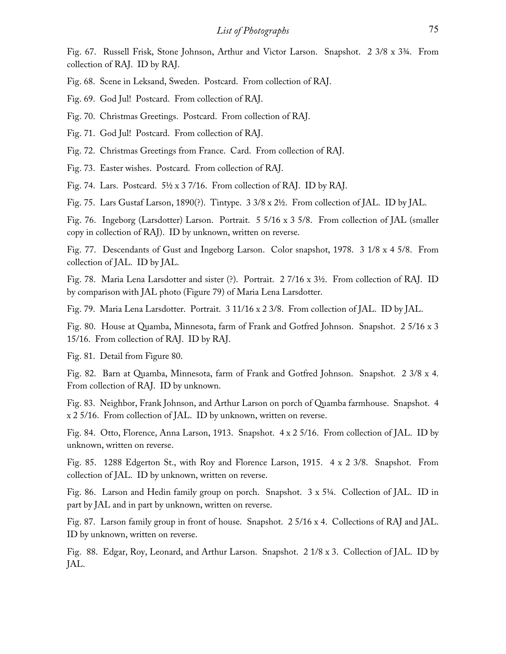Fig. 67. Russell Frisk, Stone Johnson, Arthur and Victor Larson. Snapshot. 2 3/8 x 3¾. From collection of RAJ. ID by RAJ.

Fig. 68. Scene in Leksand, Sweden. Postcard. From collection of RAJ.

Fig. 69. God Jul! Postcard. From collection of RAJ.

Fig. 70. Christmas Greetings. Postcard. From collection of RAJ.

Fig. 71. God Jul! Postcard. From collection of RAJ.

Fig. 72. Christmas Greetings from France. Card. From collection of RAJ.

Fig. 73. Easter wishes. Postcard. From collection of RAJ.

Fig. 74. Lars. Postcard. 5½ x 3 7/16. From collection of RAJ. ID by RAJ.

Fig. 75. Lars Gustaf Larson, 1890(?). Tintype. 3 3/8 x 2½. From collection of JAL. ID by JAL.

Fig. 76. Ingeborg (Larsdotter) Larson. Portrait. 5 5/16 x 3 5/8. From collection of JAL (smaller copy in collection of RAJ). ID by unknown, written on reverse.

Fig. 77. Descendants of Gust and Ingeborg Larson. Color snapshot, 1978. 3 1/8 x 4 5/8. From collection of JAL. ID by JAL.

Fig. 78. Maria Lena Larsdotter and sister (?). Portrait. 2 7/16 x 3½. From collection of RAJ. ID by comparison with JAL photo (Figure 79) of Maria Lena Larsdotter.

Fig. 79. Maria Lena Larsdotter. Portrait. 3 11/16 x 2 3/8. From collection of JAL. ID by JAL.

Fig. 80. House at Quamba, Minnesota, farm of Frank and Gotfred Johnson. Snapshot. 2 5/16 x 3 15/16. From collection of RAJ. ID by RAJ.

Fig. 81. Detail from Figure 80.

Fig. 82. Barn at Quamba, Minnesota, farm of Frank and Gotfred Johnson. Snapshot. 2 3/8 x 4. From collection of RAJ. ID by unknown.

Fig. 83. Neighbor, Frank Johnson, and Arthur Larson on porch of Quamba farmhouse. Snapshot. 4 x 2 5/16. From collection of JAL. ID by unknown, written on reverse.

Fig. 84. Otto, Florence, Anna Larson, 1913. Snapshot. 4 x 2 5/16. From collection of JAL. ID by unknown, written on reverse.

Fig. 85. 1288 Edgerton St., with Roy and Florence Larson, 1915. 4 x 2 3/8. Snapshot. From collection of JAL. ID by unknown, written on reverse.

Fig. 86. Larson and Hedin family group on porch. Snapshot. 3 x 5¼. Collection of JAL. ID in part by JAL and in part by unknown, written on reverse.

Fig. 87. Larson family group in front of house. Snapshot. 2 5/16 x 4. Collections of RAJ and JAL. ID by unknown, written on reverse.

Fig. 88. Edgar, Roy, Leonard, and Arthur Larson. Snapshot. 2 1/8 x 3. Collection of JAL. ID by JAL.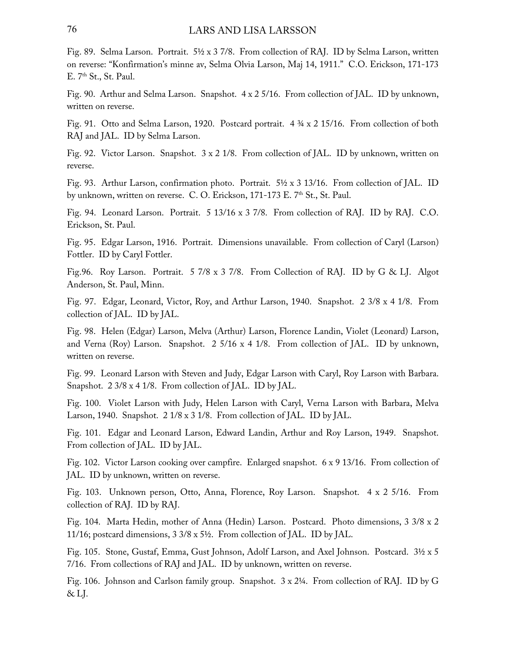Fig. 89. Selma Larson. Portrait. 5½ x 3 7/8. From collection of RAJ. ID by Selma Larson, written on reverse: "Konfirmation's minne av, Selma Olvia Larson, Maj 14, 1911." C.O. Erickson, 171-173 E. 7<sup>th</sup> St., St. Paul.

Fig. 90. Arthur and Selma Larson. Snapshot. 4 x 2 5/16. From collection of JAL. ID by unknown, written on reverse.

Fig. 91. Otto and Selma Larson, 1920. Postcard portrait. 4 ¾ x 2 15/16. From collection of both RAJ and JAL. ID by Selma Larson.

Fig. 92. Victor Larson. Snapshot.  $3 \times 2$  1/8. From collection of JAL. ID by unknown, written on reverse.

Fig. 93. Arthur Larson, confirmation photo. Portrait. 5½ x 3 13/16. From collection of JAL. ID by unknown, written on reverse. C. O. Erickson, 171-173 E. 7<sup>th</sup> St., St. Paul.

Fig. 94. Leonard Larson. Portrait. 5 13/16 x 3 7/8. From collection of RAJ. ID by RAJ. C.O. Erickson, St. Paul.

Fig. 95. Edgar Larson, 1916. Portrait. Dimensions unavailable. From collection of Caryl (Larson) Fottler. ID by Caryl Fottler.

Fig.96. Roy Larson. Portrait. 5 7/8 x 3 7/8. From Collection of RAJ. ID by G & LJ. Algot Anderson, St. Paul, Minn.

Fig. 97. Edgar, Leonard, Victor, Roy, and Arthur Larson, 1940. Snapshot. 2 3/8 x 4 1/8. From collection of JAL. ID by JAL.

Fig. 98. Helen (Edgar) Larson, Melva (Arthur) Larson, Florence Landin, Violet (Leonard) Larson, and Verna (Roy) Larson. Snapshot. 2 5/16 x 4 1/8. From collection of JAL. ID by unknown, written on reverse.

Fig. 99. Leonard Larson with Steven and Judy, Edgar Larson with Caryl, Roy Larson with Barbara. Snapshot. 2 3/8 x 4 1/8. From collection of JAL. ID by JAL.

Fig. 100. Violet Larson with Judy, Helen Larson with Caryl, Verna Larson with Barbara, Melva Larson, 1940. Snapshot. 2 1/8 x 3 1/8. From collection of JAL. ID by JAL.

Fig. 101. Edgar and Leonard Larson, Edward Landin, Arthur and Roy Larson, 1949. Snapshot. From collection of JAL. ID by JAL.

Fig. 102. Victor Larson cooking over campfire. Enlarged snapshot. 6 x 9 13/16. From collection of JAL. ID by unknown, written on reverse.

Fig. 103. Unknown person, Otto, Anna, Florence, Roy Larson. Snapshot. 4 x 2 5/16. From collection of RAJ. ID by RAJ.

Fig. 104. Marta Hedin, mother of Anna (Hedin) Larson. Postcard. Photo dimensions, 3 3/8 x 2 11/16; postcard dimensions, 3 3/8 x 5½. From collection of JAL. ID by JAL.

Fig. 105. Stone, Gustaf, Emma, Gust Johnson, Adolf Larson, and Axel Johnson. Postcard. 3½ x 5 7/16. From collections of RAJ and JAL. ID by unknown, written on reverse.

Fig. 106. Johnson and Carlson family group. Snapshot. 3 x 2¼. From collection of RAJ. ID by G  $&$  LJ.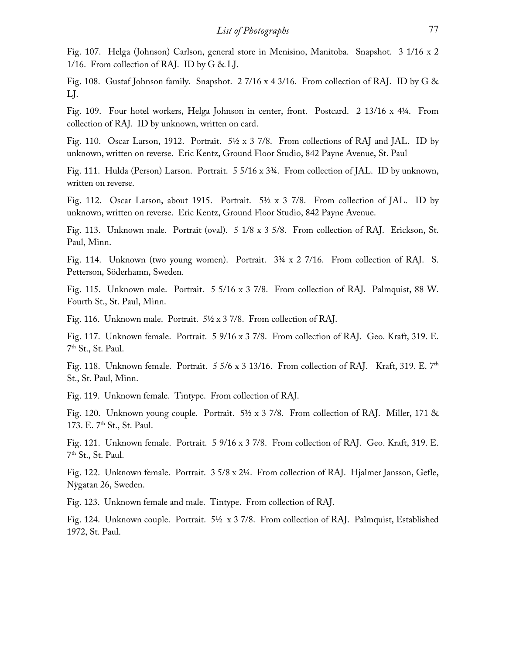Fig. 107. Helga (Johnson) Carlson, general store in Menisino, Manitoba. Snapshot. 3 1/16 x 2 1/16. From collection of RAJ. ID by  $G &L$ .

Fig. 108. Gustaf Johnson family. Snapshot. 2 7/16 x 4 3/16. From collection of RAJ. ID by G & LJ.

Fig. 109. Four hotel workers, Helga Johnson in center, front. Postcard. 2 13/16 x 4¼. From collection of RAJ. ID by unknown, written on card.

Fig. 110. Oscar Larson, 1912. Portrait.  $5\frac{1}{2} \times 3$  7/8. From collections of RAJ and JAL. ID by unknown, written on reverse. Eric Kentz, Ground Floor Studio, 842 Payne Avenue, St. Paul

Fig. 111. Hulda (Person) Larson. Portrait. 5 5/16 x 3¾. From collection of JAL. ID by unknown, written on reverse.

Fig. 112. Oscar Larson, about 1915. Portrait. 5½ x 3 7/8. From collection of JAL. ID by unknown, written on reverse. Eric Kentz, Ground Floor Studio, 842 Payne Avenue.

Fig. 113. Unknown male. Portrait (oval). 5 1/8 x 3 5/8. From collection of RAJ. Erickson, St. Paul, Minn.

Fig. 114. Unknown (two young women). Portrait. 3¾ x 2 7/16. From collection of RAJ. S. Petterson, Söderhamn, Sweden.

Fig. 115. Unknown male. Portrait. 5 5/16 x 3 7/8. From collection of RAJ. Palmquist, 88 W. Fourth St., St. Paul, Minn.

Fig. 116. Unknown male. Portrait. 5½ x 3 7/8. From collection of RAJ.

Fig. 117. Unknown female. Portrait. 5 9/16 x 3 7/8. From collection of RAJ. Geo. Kraft, 319. E. 7th St., St. Paul.

Fig. 118. Unknown female. Portrait. 5 5/6 x 3 13/16. From collection of RAJ. Kraft, 319. E. 7<sup>th</sup> St., St. Paul, Minn.

Fig. 119. Unknown female. Tintype. From collection of RAJ.

Fig. 120. Unknown young couple. Portrait. 5½ x 3 7/8. From collection of RAJ. Miller, 171 & 173. E. 7<sup>th</sup> St., St. Paul.

Fig. 121. Unknown female. Portrait. 5 9/16 x 3 7/8. From collection of RAJ. Geo. Kraft, 319. E. 7th St., St. Paul.

Fig. 122. Unknown female. Portrait. 3 5/8 x 2¼. From collection of RAJ. Hjalmer Jansson, Gefle, Nÿgatan 26, Sweden.

Fig. 123. Unknown female and male. Tintype. From collection of RAJ.

Fig. 124. Unknown couple. Portrait. 5½ x 3 7/8. From collection of RAJ. Palmquist, Established 1972, St. Paul.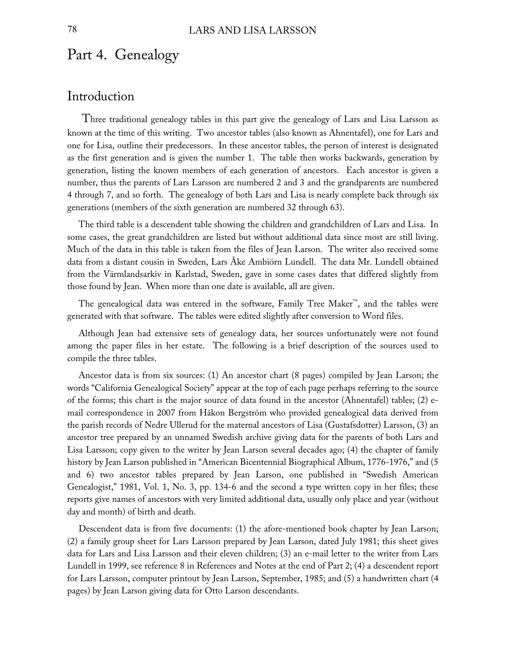## Part 4. Genealogy

## Introduction

 Three traditional genealogy tables in this part give the genealogy of Lars and Lisa Larsson as known at the time of this writing. Two ancestor tables (also known as Ahnentafel), one for Lars and one for Lisa, outline their predecessors. In these ancestor tables, the person of interest is designated as the first generation and is given the number 1. The table then works backwards, generation by generation, listing the known members of each generation of ancestors. Each ancestor is given a number, thus the parents of Lars Larsson are numbered 2 and 3 and the grandparents are numbered 4 through 7, and so forth. The genealogy of both Lars and Lisa is nearly complete back through six generations (members of the sixth generation are numbered 32 through 63).

 The third table is a descendent table showing the children and grandchildren of Lars and Lisa. In some cases, the great grandchildren are listed but without additional data since most are still living. Much of the data in this table is taken from the files of Jean Larson. The writer also received some data from a distant cousin in Sweden, Lars Åke Ambiörn Lundell. The data Mr. Lundell obtained from the Värmlandsarkiv in Karlstad, Sweden, gave in some cases dates that differed slightly from those found by Jean. When more than one date is available, all are given.

 The genealogical data was entered in the software, Family Tree Maker™, and the tables were generated with that software. The tables were edited slightly after conversion to Word files.

 Although Jean had extensive sets of genealogy data, her sources unfortunately were not found among the paper files in her estate. The following is a brief description of the sources used to compile the three tables.

 Ancestor data is from six sources: (1) An ancestor chart (8 pages) compiled by Jean Larson; the words "California Genealogical Society" appear at the top of each page perhaps referring to the source of the forms; this chart is the major source of data found in the ancestor (Ahnentafel) tables; (2) email correspondence in 2007 from Håkon Bergström who provided genealogical data derived from the parish records of Nedre Ullerud for the maternal ancestors of Lisa (Gustafsdotter) Larsson, (3) an ancestor tree prepared by an unnamed Swedish archive giving data for the parents of both Lars and Lisa Larsson; copy given to the writer by Jean Larson several decades ago; (4) the chapter of family history by Jean Larson published in "American Bicentennial Biographical Album, 1776-1976," and (5 and 6) two ancestor tables prepared by Jean Larson, one published in "Swedish American Genealogist," 1981, Vol. 1, No. 3, pp. 134-6 and the second a type written copy in her files; these reports give names of ancestors with very limited additional data, usually only place and year (without day and month) of birth and death.

 Descendent data is from five documents: (1) the afore-mentioned book chapter by Jean Larson; (2) a family group sheet for Lars Larsson prepared by Jean Larson, dated July 1981; this sheet gives data for Lars and Lisa Larsson and their eleven children; (3) an e-mail letter to the writer from Lars Lundell in 1999, see reference 8 in References and Notes at the end of Part 2; (4) a descendent report for Lars Larsson, computer printout by Jean Larson, September, 1985; and (5) a handwritten chart (4 pages) by Jean Larson giving data for Otto Larson descendants.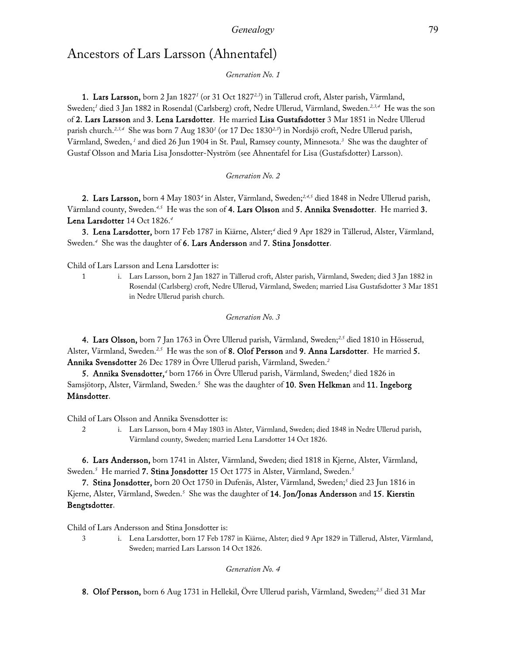## Ancestors of Lars Larsson (Ahnentafel)

### *Generation No. 1*

**1. Lars Larsson,** born 2 Jan 1827<sup>*i*</sup> (or 31 Oct 1827<sup>2,3</sup>) in Tällerud croft, Alster parish, Värmland, Sweden;*<sup>1</sup>* died 3 Jan 1882 in Rosendal (Carlsberg) croft, Nedre Ullerud, Värmland, Sweden.*2,3,4* He was the son of 2. Lars Larsson and 3. Lena Larsdotter. He married Lisa Gustafsdotter 3 Mar 1851 in Nedre Ullerud parish church.*2,3,4* She was born 7 Aug 1830*<sup>1</sup>* (or 17 Dec 1830*2,3*) in Nordsjö croft, Nedre Ullerud parish, Värmland, Sweden,*<sup>1</sup>* and died 26 Jun 1904 in St. Paul, Ramsey county, Minnesota.*<sup>3</sup>* She was the daughter of Gustaf Olsson and Maria Lisa Jonsdotter-Nyström (see Ahnentafel for Lisa (Gustafsdotter) Larsson).

### *Generation No. 2*

2. Lars Larsson, born 4 May 1803*<sup>4</sup>* in Alster, Värmland, Sweden;*2,4,5* died 1848 in Nedre Ullerud parish, Värmland county, Sweden.*4,5* He was the son of 4. Lars Olsson and 5. Annika Svensdotter. He married 3. Lena Larsdotter 14 Oct 1826.*<sup>4</sup>*

3. Lena Larsdotter, born 17 Feb 1787 in Kiärne, Alster;*<sup>4</sup>* died 9 Apr 1829 in Tällerud, Alster, Värmland, Sweden.*<sup>4</sup>* She was the daughter of 6. Lars Andersson and 7. Stina Jonsdotter.

Child of Lars Larsson and Lena Larsdotter is:

1 i. Lars Larsson, born 2 Jan 1827 in Tällerud croft, Alster parish, Värmland, Sweden; died 3 Jan 1882 in Rosendal (Carlsberg) croft, Nedre Ullerud, Värmland, Sweden; married Lisa Gustafsdotter 3 Mar 1851 in Nedre Ullerud parish church.

*Generation No. 3*

4. Lars Olsson, born 7 Jan 1763 in Övre Ullerud parish, Värmland, Sweden;*2,5* died 1810 in Hösserud, Alster, Värmland, Sweden.*2,5* He was the son of 8. Olof Persson and 9. Anna Larsdotter. He married 5. Annika Svensdotter 26 Dec 1789 in Övre Ullerud parish, Värmland, Sweden.*<sup>2</sup>*

5. Annika Svensdotter,*<sup>4</sup>* born 1766 in Övre Ullerud parish, Värmland, Sweden;*<sup>5</sup>* died 1826 in Samsjötorp, Alster, Värmland, Sweden.<sup>5</sup> She was the daughter of **10. Sven Helkman** and **11. Ingeborg** Månsdotter.

Child of Lars Olsson and Annika Svensdotter is:

2 i. Lars Larsson, born 4 May 1803 in Alster, Värmland, Sweden; died 1848 in Nedre Ullerud parish, Värmland county, Sweden; married Lena Larsdotter 14 Oct 1826.

6. Lars Andersson, born 1741 in Alster, Värmland, Sweden; died 1818 in Kjerne, Alster, Värmland, Sweden.*<sup>5</sup>* He married 7. Stina Jonsdotter 15 Oct 1775 in Alster, Värmland, Sweden.*<sup>5</sup>*

7. Stina Jonsdotter, born 20 Oct 1750 in Dufenäs, Alster, Värmland, Sweden;*<sup>5</sup>* died 23 Jun 1816 in Kjerne, Alster, Värmland, Sweden.<sup>5</sup> She was the daughter of **14. Jon/Jonas Andersson** and **15. Kierstin** Bengtsdotter.

Child of Lars Andersson and Stina Jonsdotter is:

3 i. Lena Larsdotter, born 17 Feb 1787 in Kiärne, Alster; died 9 Apr 1829 in Tällerud, Alster, Värmland, Sweden; married Lars Larsson 14 Oct 1826.

*Generation No. 4*

8. Olof Persson, born 6 Aug 1731 in Hellekil, Övre Ullerud parish, Värmland, Sweden;*2,5* died 31 Mar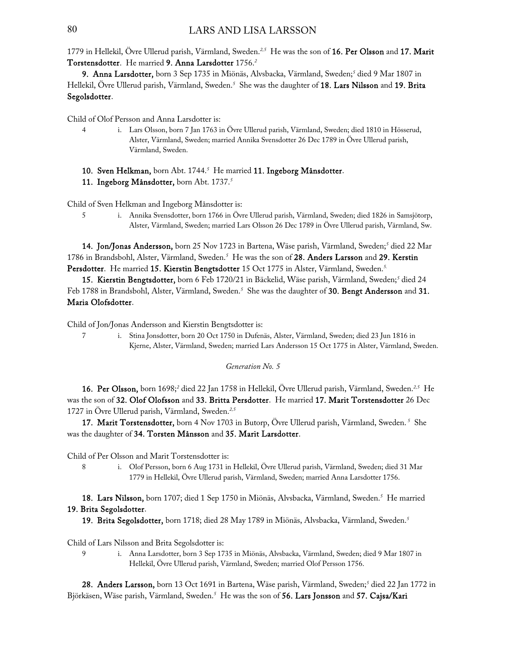### 80 LARS AND LISA LARSSON

1779 in Hellekil, Övre Ullerud parish, Värmland, Sweden.*2,5* He was the son of 16. Per Olsson and 17. Marit Torstensdotter. He married 9. Anna Larsdotter 1756.*<sup>2</sup>*

9. Anna Larsdotter, born 3 Sep 1735 in Miönäs, Alvsbacka, Värmland, Sweden;*<sup>5</sup>* died 9 Mar 1807 in Hellekil, Övre Ullerud parish, Värmland, Sweden.*<sup>5</sup>* She was the daughter of 18. Lars Nilsson and 19. Brita Segolsdotter.

Child of Olof Persson and Anna Larsdotter is:

- 4 i. Lars Olsson, born 7 Jan 1763 in Övre Ullerud parish, Värmland, Sweden; died 1810 in Hösserud, Alster, Värmland, Sweden; married Annika Svensdotter 26 Dec 1789 in Övre Ullerud parish, Värmland, Sweden.
- 10. Sven Helkman, born Abt. 1744.*<sup>5</sup>* He married 11. Ingeborg Månsdotter.
- 11. Ingeborg Månsdotter, born Abt. 1737.*<sup>5</sup>*

Child of Sven Helkman and Ingeborg Månsdotter is:

5 i. Annika Svensdotter, born 1766 in Övre Ullerud parish, Värmland, Sweden; died 1826 in Samsjötorp, Alster, Värmland, Sweden; married Lars Olsson 26 Dec 1789 in Övre Ullerud parish, Värmland, Sw.

**14. Jon/Jonas Andersson,** born 25 Nov 1723 in Bartena, Wäse parish, Värmland, Sweden;<sup>5</sup> died 22 Mar 1786 in Brandsbohl, Alster, Värmland, Sweden.*<sup>5</sup>* He was the son of 28. Anders Larsson and 29. Kerstin Persdotter. He married 15. Kierstin Bengtsdotter 15 Oct 1775 in Alster, Värmland, Sweden.*5.*

15. Kierstin Bengtsdotter, born 6 Feb 1720/21 in Bäckelid, Wäse parish, Värmland, Sweden;<sup>5</sup> died 24 Feb 1788 in Brandsbohl, Alster, Värmland, Sweden.<sup>5</sup> She was the daughter of **30. Bengt Andersson** and **31.** Maria Olofsdotter.

Child of Jon/Jonas Andersson and Kierstin Bengtsdotter is:

7 i. Stina Jonsdotter, born 20 Oct 1750 in Dufenäs, Alster, Värmland, Sweden; died 23 Jun 1816 in Kjerne, Alster, Värmland, Sweden; married Lars Andersson 15 Oct 1775 in Alster, Värmland, Sweden.

*Generation No. 5*

16. Per Olsson, born 1698;*<sup>2</sup>* died 22 Jan 1758 in Hellekil, Övre Ullerud parish, Värmland, Sweden.*2,5* He was the son of 32. Olof Olofsson and 33. Britta Persdotter. He married 17. Marit Torstensdotter 26 Dec 1727 in Övre Ullerud parish, Värmland, Sweden.*2,5*

17. Marit Torstensdotter, born 4 Nov 1703 in Butorp, Övre Ullerud parish, Värmland, Sweden.*<sup>5</sup>* She was the daughter of 34. Torsten Månsson and 35. Marit Larsdotter.

Child of Per Olsson and Marit Torstensdotter is:

8 i. Olof Persson, born 6 Aug 1731 in Hellekil, Övre Ullerud parish, Värmland, Sweden; died 31 Mar 1779 in Hellekil, Övre Ullerud parish, Värmland, Sweden; married Anna Larsdotter 1756.

18. Lars Nilsson, born 1707; died 1 Sep 1750 in Miönäs, Alvsbacka, Värmland, Sweden.*<sup>5</sup>* He married 19. Brita Segolsdotter.

19. Brita Segolsdotter, born 1718; died 28 May 1789 in Miönäs, Alvsbacka, Värmland, Sweden.*<sup>5</sup>*

Child of Lars Nilsson and Brita Segolsdotter is:

9 i. Anna Larsdotter, born 3 Sep 1735 in Miönäs, Alvsbacka, Värmland, Sweden; died 9 Mar 1807 in Hellekil, Övre Ullerud parish, Värmland, Sweden; married Olof Persson 1756.

28. Anders Larsson, born 13 Oct 1691 in Bartena, Wäse parish, Värmland, Sweden;*<sup>5</sup>* died 22 Jan 1772 in Björkäsen, Wäse parish, Värmland, Sweden.*<sup>5</sup>* He was the son of 56. Lars Jonsson and 57. Cajsa/Kari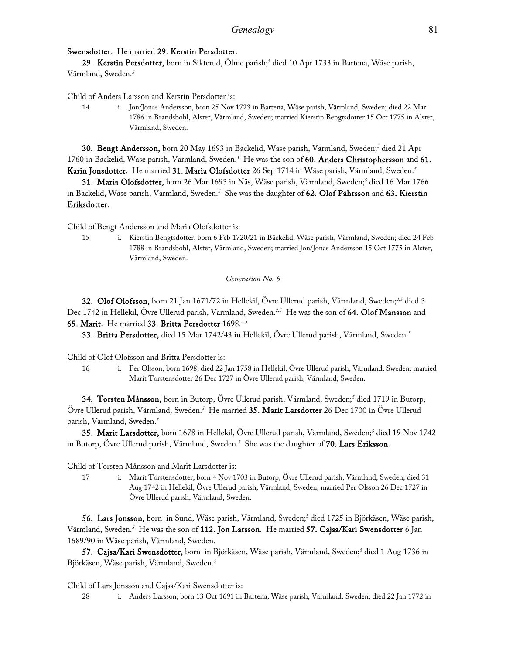### Swensdotter. He married 29. Kerstin Persdotter.

29. Kerstin Persdotter, born in Sikterud, Ölme parish;*<sup>5</sup>* died 10 Apr 1733 in Bartena, Wäse parish, Värmland, Sweden.*<sup>5</sup>*

Child of Anders Larsson and Kerstin Persdotter is:

14 i. Jon/Jonas Andersson, born 25 Nov 1723 in Bartena, Wäse parish, Värmland, Sweden; died 22 Mar 1786 in Brandsbohl, Alster, Värmland, Sweden; married Kierstin Bengtsdotter 15 Oct 1775 in Alster, Värmland, Sweden.

30. Bengt Andersson, born 20 May 1693 in Bäckelid, Wäse parish, Värmland, Sweden;*<sup>5</sup>* died 21 Apr 1760 in Bäckelid, Wäse parish, Värmland, Sweden.*<sup>5</sup>* He was the son of 60. Anders Christophersson and 61. Karin Jonsdotter. He married 31. Maria Olofsdotter 26 Sep 1714 in Wäse parish, Värmland, Sweden.*<sup>5</sup>*

31. Maria Olofsdotter, born 26 Mar 1693 in Näs, Wäse parish, Värmland, Sweden;*<sup>5</sup>* died 16 Mar 1766 in Bäckelid, Wäse parish, Värmland, Sweden.<sup>5</sup> She was the daughter of **62. Olof Pährsson** and **63. Kierstin** Eriksdotter.

Child of Bengt Andersson and Maria Olofsdotter is:

15 i. Kierstin Bengtsdotter, born 6 Feb 1720/21 in Bäckelid, Wäse parish, Värmland, Sweden; died 24 Feb 1788 in Brandsbohl, Alster, Värmland, Sweden; married Jon/Jonas Andersson 15 Oct 1775 in Alster, Värmland, Sweden.

*Generation No. 6*

32. Olof Olofsson, born 21 Jan 1671/72 in Hellekil, Övre Ullerud parish, Värmland, Sweden;*2,5* died 3 Dec 1742 in Hellekil, Övre Ullerud parish, Värmland, Sweden.*2,5* He was the son of 64. Olof Mansson and 65. Marit. He married 33. Britta Persdotter 1698.*2,5*

33. Britta Persdotter, died 15 Mar 1742/43 in Hellekil, Övre Ullerud parish, Värmland, Sweden.*<sup>5</sup>*

Child of Olof Olofsson and Britta Persdotter is:

16 i. Per Olsson, born 1698; died 22 Jan 1758 in Hellekil, Övre Ullerud parish, Värmland, Sweden; married Marit Torstensdotter 26 Dec 1727 in Övre Ullerud parish, Värmland, Sweden.

34. Torsten Månsson, born in Butorp, Övre Ullerud parish, Värmland, Sweden;*<sup>5</sup>* died 1719 in Butorp, Övre Ullerud parish, Värmland, Sweden.*<sup>5</sup>* He married 35. Marit Larsdotter 26 Dec 1700 in Övre Ullerud parish, Värmland, Sweden.*<sup>5</sup>*

35. Marit Larsdotter, born 1678 in Hellekil, Övre Ullerud parish, Värmland, Sweden;*<sup>5</sup>* died 19 Nov 1742 in Butorp, Övre Ullerud parish, Värmland, Sweden.*<sup>5</sup>* She was the daughter of 70. Lars Eriksson.

Child of Torsten Månsson and Marit Larsdotter is:

17 i. Marit Torstensdotter, born 4 Nov 1703 in Butorp, Övre Ullerud parish, Värmland, Sweden; died 31 Aug 1742 in Hellekil, Övre Ullerud parish, Värmland, Sweden; married Per Olsson 26 Dec 1727 in Övre Ullerud parish, Värmland, Sweden.

56. Lars Jonsson, born in Sund, Wäse parish, Värmland, Sweden;*<sup>5</sup>* died 1725 in Björkäsen, Wäse parish, Värmland, Sweden.<sup>5</sup> He was the son of **112. Jon Larsson**. He married **57. Cajsa/Kari Swensdotter** 6 Jan 1689/90 in Wäse parish, Värmland, Sweden.

57. Cajsa/Kari Swensdotter, born in Björkäsen, Wäse parish, Värmland, Sweden;*<sup>5</sup>* died 1 Aug 1736 in Björkäsen, Wäse parish, Värmland, Sweden.*<sup>5</sup>*

Child of Lars Jonsson and Cajsa/Kari Swensdotter is:

28 i. Anders Larsson, born 13 Oct 1691 in Bartena, Wäse parish, Värmland, Sweden; died 22 Jan 1772 in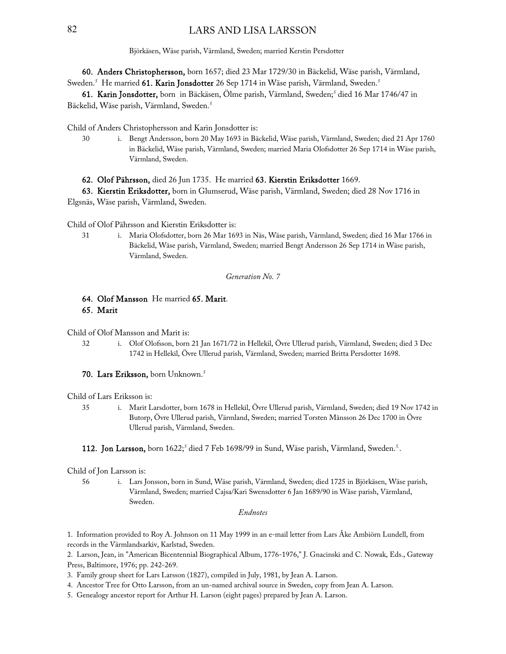Björkäsen, Wäse parish, Värmland, Sweden; married Kerstin Persdotter

60. Anders Christophersson, born 1657; died 23 Mar 1729/30 in Bäckelid, Wäse parish, Värmland, Sweden.*<sup>5</sup>* He married 61. Karin Jonsdotter 26 Sep 1714 in Wäse parish, Värmland, Sweden.*<sup>5</sup>*

61. Karin Jonsdotter, born in Bäckäsen, Ölme parish, Värmland, Sweden;*<sup>5</sup>* died 16 Mar 1746/47 in Bäckelid, Wäse parish, Värmland, Sweden.*<sup>5</sup>*

Child of Anders Christophersson and Karin Jonsdotter is:

30 i. Bengt Andersson, born 20 May 1693 in Bäckelid, Wäse parish, Värmland, Sweden; died 21 Apr 1760 in Bäckelid, Wäse parish, Värmland, Sweden; married Maria Olofsdotter 26 Sep 1714 in Wäse parish, Värmland, Sweden.

62. Olof Pährsson, died 26 Jun 1735. He married 63. Kierstin Eriksdotter 1669.

63. Kierstin Eriksdotter, born in Glumserud, Wäse parish, Värmland, Sweden; died 28 Nov 1716 in Elgsnäs, Wäse parish, Värmland, Sweden.

Child of Olof Pährsson and Kierstin Eriksdotter is:

31 i. Maria Olofsdotter, born 26 Mar 1693 in Näs, Wäse parish, Värmland, Sweden; died 16 Mar 1766 in Bäckelid, Wäse parish, Värmland, Sweden; married Bengt Andersson 26 Sep 1714 in Wäse parish, Värmland, Sweden.

*Generation No. 7*

### 64. Olof Mansson He married 65. Marit. 65. Marit

Child of Olof Mansson and Marit is:

32 i. Olof Olofsson, born 21 Jan 1671/72 in Hellekil, Övre Ullerud parish, Värmland, Sweden; died 3 Dec 1742 in Hellekil, Övre Ullerud parish, Värmland, Sweden; married Britta Persdotter 1698.

70. Lars Eriksson, born Unknown.*<sup>5</sup>*

Child of Lars Eriksson is:

35 i. Marit Larsdotter, born 1678 in Hellekil, Övre Ullerud parish, Värmland, Sweden; died 19 Nov 1742 in Butorp, Övre Ullerud parish, Värmland, Sweden; married Torsten Månsson 26 Dec 1700 in Övre Ullerud parish, Värmland, Sweden.

### 112. Jon Larsson, born 1622;*<sup>5</sup>* died 7 Feb 1698/99 in Sund, Wäse parish, Värmland, Sweden.*5.*.

### Child of Jon Larsson is:

56 i. Lars Jonsson, born in Sund, Wäse parish, Värmland, Sweden; died 1725 in Björkäsen, Wäse parish, Värmland, Sweden; married Cajsa/Kari Swensdotter 6 Jan 1689/90 in Wäse parish, Värmland, Sweden.

### *Endnotes*

1. Information provided to Roy A. Johnson on 11 May 1999 in an e-mail letter from Lars Åke Ambiörn Lundell, from records in the Värmlandsarkiv, Karlstad, Sweden.

2. Larson, Jean, in "American Bicentennial Biographical Album, 1776-1976," J. Gnacinski and C. Nowak, Eds., Gateway Press, Baltimore, 1976; pp. 242-269.

3. Family group sheet for Lars Larsson (1827), compiled in July, 1981, by Jean A. Larson.

4. Ancestor Tree for Otto Larsson, from an un-named archival source in Sweden, copy from Jean A. Larson.

5. Genealogy ancestor report for Arthur H. Larson (eight pages) prepared by Jean A. Larson.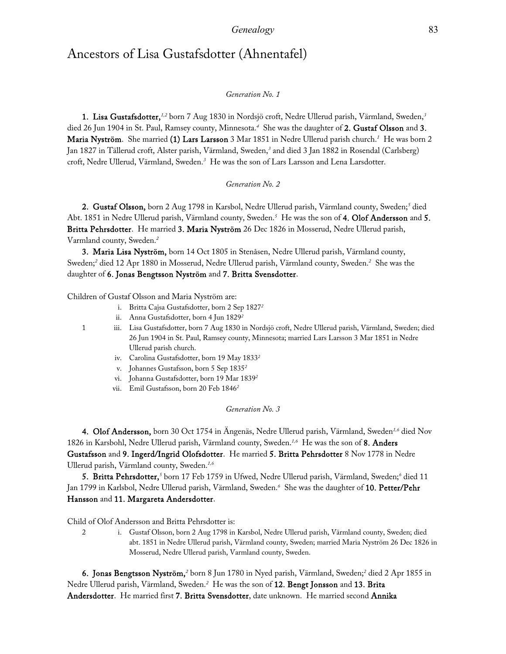## Ancestors of Lisa Gustafsdotter (Ahnentafel)

### *Generation No. 1*

1. Lisa Gustafsdotter,*1,2* born 7 Aug 1830 in Nordsjö croft, Nedre Ullerud parish, Värmland, Sweden,*<sup>3</sup>* died 26 Jun 1904 in St. Paul, Ramsey county, Minnesota.*<sup>4</sup>* She was the daughter of 2. Gustaf Olsson and 3. Maria Nyström. She married (1) Lars Larsson 3 Mar 1851 in Nedre Ullerud parish church.*<sup>1</sup>* He was born 2 Jan 1827 in Tällerud croft, Alster parish, Värmland, Sweden,*<sup>3</sup>* and died 3 Jan 1882 in Rosendal (Carlsberg) croft, Nedre Ullerud, Värmland, Sweden.*<sup>3</sup>* He was the son of Lars Larsson and Lena Larsdotter.

### *Generation No. 2*

2. Gustaf Olsson, born 2 Aug 1798 in Karsbol, Nedre Ullerud parish, Värmland county, Sweden;*<sup>5</sup>* died Abt. 1851 in Nedre Ullerud parish, Värmland county, Sweden.*<sup>5</sup>* He was the son of 4. Olof Andersson and 5. Britta Pehrsdotter. He married 3. Maria Nyström 26 Dec 1826 in Mosserud, Nedre Ullerud parish, Varmland county, Sweden.*<sup>2</sup>*

3. Maria Lisa Nyström, born 14 Oct 1805 in Stenåsen, Nedre Ullerud parish, Värmland county, Sweden;*<sup>2</sup>* died 12 Apr 1880 in Mosserud, Nedre Ullerud parish, Värmland county, Sweden.*<sup>2</sup>* She was the daughter of 6. Jonas Bengtsson Nyström and 7. Britta Svensdotter.

Children of Gustaf Olsson and Maria Nyström are:

- i. Britta Cajsa Gustafsdotter, born 2 Sep 1827*<sup>2</sup>*
- ii. Anna Gustafsdotter, born 4 Jun 1829*<sup>2</sup>*
- 1 iii. Lisa Gustafsdotter, born 7 Aug 1830 in Nordsjö croft, Nedre Ullerud parish, Värmland, Sweden; died 26 Jun 1904 in St. Paul, Ramsey county, Minnesota; married Lars Larsson 3 Mar 1851 in Nedre Ullerud parish church.
	- iv. Carolina Gustafsdotter, born 19 May 1833*<sup>2</sup>*
	- v. Johannes Gustafsson, born 5 Sep 1835*<sup>2</sup>*
	- vi. Johanna Gustafsdotter, born 19 Mar 1839*<sup>2</sup>*
	- vii. Emil Gustafsson, born 20 Feb 1846*<sup>2</sup>*

*Generation No. 3*

4. Olof Andersson, born 30 Oct 1754 in Ängenäs, Nedre Ullerud parish, Värmland, Sweden*1,6* died Nov 1826 in Karsbohl, Nedre Ullerud parish, Värmland county, Sweden.*1,6* He was the son of 8. Anders Gustafsson and 9. Ingerd/Ingrid Olofsdotter. He married 5. Britta Pehrsdotter 8 Nov 1778 in Nedre Ullerud parish, Värmland county, Sweden.*1,6*

**5. Britta Pehrsdotter,** <sup>5</sup> born 17 Feb 1759 in Ufwed, Nedre Ullerud parish, Värmland, Sweden; <sup>6</sup> died 11 Jan 1799 in Karlsbol, Nedre Ullerud parish, Värmland, Sweden.*<sup>6</sup>* She was the daughter of 10. Petter/Pehr Hansson and 11. Margareta Andersdotter.

Child of Olof Andersson and Britta Pehrsdotter is:

2 i. Gustaf Olsson, born 2 Aug 1798 in Karsbol, Nedre Ullerud parish, Värmland county, Sweden; died abt. 1851 in Nedre Ullerud parish, Värmland county, Sweden; married Maria Nyström 26 Dec 1826 in Mosserud, Nedre Ullerud parish, Varmland county, Sweden.

**6. Jonas Bengtsson Nyström,**<sup>2</sup> born 8 Jun 1780 in Nyed parish, Värmland, Sweden;<sup>2</sup> died 2 Apr 1855 in Nedre Ullerud parish, Värmland, Sweden.*<sup>2</sup>* He was the son of 12. Bengt Jonsson and 13. Brita Andersdotter. He married first 7. Britta Svensdotter, date unknown. He married second Annika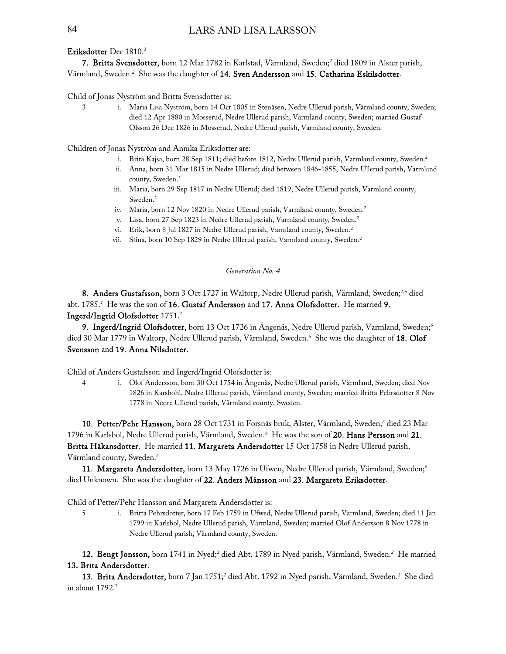### Eriksdotter Dec 1810.2

7. Britta Svensdotter, born 12 Mar 1782 in Karlstad, Värmland, Sweden;*<sup>2</sup>* died 1809 in Alster parish, Värmland, Sweden.*<sup>2</sup>* She was the daughter of 14. Sven Andersson and 15. Catharina Eskilsdotter.

Child of Jonas Nyström and Britta Svensdotter is:

3 i. Maria Lisa Nyström, born 14 Oct 1805 in Stenåsen, Nedre Ullerud parish, Värmland county, Sweden; died 12 Apr 1880 in Mosserud, Nedre Ullerud parish, Värmland county, Sweden; married Gustaf Olsson 26 Dec 1826 in Mosserud, Nedre Ullerud parish, Varmland county, Sweden.

Children of Jonas Nyström and Annika Eriksdotter are:

- i. Brita Kajsa, born 28 Sep 1811; died before 1812, Nedre Ullerud parish, Varmland county, Sweden.<sup>2</sup>
- ii. Anna, born 31 Mar 1815 in Nedre Ullerud; died between 1846-1855, Nedre Ullerud parish, Varmland county, Sweden.2
- iii. Maria, born 29 Sep 1817 in Nedre Ullerud; died 1819, Nedre Ullerud parish, Varmland county, Sweden.2
- iv. Maria, born 12 Nov 1820 in Nedre Ullerud parish, Varmland county, Sweden.<sup>2</sup>
- v. Lisa, born 27 Sep 1823 in Nedre Ullerud parish, Varmland county, Sweden.2
- vi. Erik, born 8 Jul 1827 in Nedre Ullerud parish, Varmland county, Sweden.2
- vii. Stina, born 10 Sep 1829 in Nedre Ullerud parish, Varmland county, Sweden.<sup>2</sup>

*Generation No. 4*

8. Anders Gustafsson, born 3 Oct 1727 in Waltorp, Nedre Ullerud parish, Värmland, Sweden;*1,6* died abt. 1785.<sup>7</sup> He was the son of **16. Gustaf Andersson** and **17. Anna Olofsdotter**. He married **9.** Ingerd/Ingrid Olofsdotter 1751.*<sup>1</sup>*

9. Ingerd/Ingrid Olofsdotter, born 13 Oct 1726 in Ängenäs, Nedre Ullerud parish, Varmland, Sweden;*<sup>6</sup>* died 30 Mar 1779 in Waltorp, Nedre Ullerud parish, Värmland, Sweden.*<sup>6</sup>* She was the daughter of 18. Olof Svensson and 19. Anna Nilsdotter.

Child of Anders Gustafsson and Ingerd/Ingrid Olofsdotter is:

4 i. Olof Andersson, born 30 Oct 1754 in Ängenäs, Nedre Ullerud parish, Värmland, Sweden; died Nov 1826 in Karsbohl, Nedre Ullerud parish, Värmland county, Sweden; married Britta Pehrsdotter 8 Nov 1778 in Nedre Ullerud parish, Värmland county, Sweden.

**10. Petter/Pehr Hansson,** born 28 Oct 1731 in Forsnäs bruk, Alster, Värmland, Sweden;<sup>6</sup> died 23 Mar 1796 in Karlsbol, Nedre Ullerud parish, Värmland, Sweden.*<sup>6</sup>* He was the son of 20. Hans Persson and 21. Britta Håkansdotter. He married 11. Margareta Andersdotter 15 Oct 1758 in Nedre Ullerud parish, Värmland county, Sweden.*<sup>6</sup>*

11. Margareta Andersdotter, born 13 May 1726 in Ufwen, Nedre Ullerud parish, Värmland, Sweden;*<sup>6</sup>* died Unknown. She was the daughter of 22. Anders Månsson and 23. Margareta Eriksdotter.

Child of Petter/Pehr Hansson and Margareta Andersdotter is:

5 i. Britta Pehrsdotter, born 17 Feb 1759 in Ufwed, Nedre Ullerud parish, Värmland, Sweden; died 11 Jan 1799 in Karlsbol, Nedre Ullerud parish, Värmland, Sweden; married Olof Andersson 8 Nov 1778 in Nedre Ullerud parish, Värmland county, Sweden.

12. Bengt Jonsson, born 1741 in Nyed;<sup>2</sup> died Abt. 1789 in Nyed parish, Värmland, Sweden.<sup>2</sup> He married 13. Brita Andersdotter.

13. Brita Andersdotter, born 7 Jan 1751;*<sup>2</sup>* died Abt. 1792 in Nyed parish, Värmland, Sweden.*<sup>2</sup>* She died in about  $1792.2$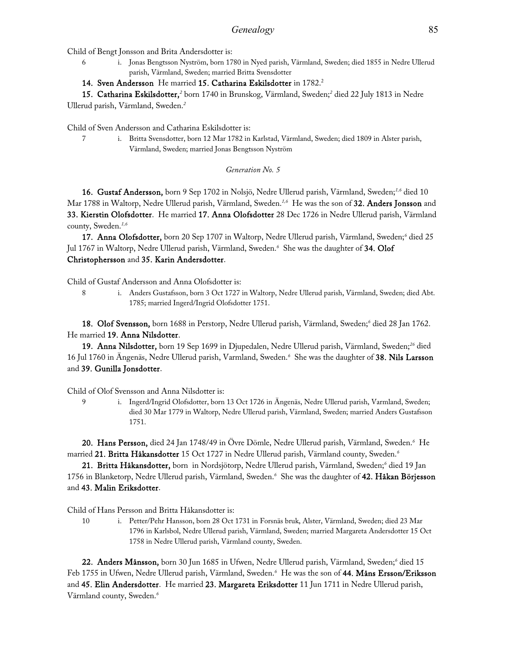Child of Bengt Jonsson and Brita Andersdotter is:

6 i. Jonas Bengtsson Nyström, born 1780 in Nyed parish, Värmland, Sweden; died 1855 in Nedre Ullerud parish, Värmland, Sweden; married Britta Svensdotter

### 14. Sven Andersson He married 15. Catharina Eskilsdotter in 1782.<sup>2</sup>

15. Catharina Eskilsdotter,<sup>2</sup> born 1740 in Brunskog, Värmland, Sweden;<sup>2</sup> died 22 July 1813 in Nedre Ullerud parish, Värmland, Sweden.*<sup>2</sup>*

Child of Sven Andersson and Catharina Eskilsdotter is:

7 i. Britta Svensdotter, born 12 Mar 1782 in Karlstad, Värmland, Sweden; died 1809 in Alster parish, Värmland, Sweden; married Jonas Bengtsson Nyström

### *Generation No. 5*

16. Gustaf Andersson, born 9 Sep 1702 in Nolsjö, Nedre Ullerud parish, Värmland, Sweden;*1,6* died 10 Mar 1788 in Waltorp, Nedre Ullerud parish, Värmland, Sweden.*1,6* He was the son of 32. Anders Jonsson and 33. Kierstin Olofsdotter. He married 17. Anna Olofsdotter 28 Dec 1726 in Nedre Ullerud parish, Värmland county, Sweden.*1,6*

17. Anna Olofsdotter, born 20 Sep 1707 in Waltorp, Nedre Ullerud parish, Värmland, Sweden;<sup>6</sup> died 25 Jul 1767 in Waltorp, Nedre Ullerud parish, Värmland, Sweden.*<sup>6</sup>* She was the daughter of 34. Olof Christophersson and 35. Karin Andersdotter.

Child of Gustaf Andersson and Anna Olofsdotter is:

8 i. Anders Gustafsson, born 3 Oct 1727 in Waltorp, Nedre Ullerud parish, Värmland, Sweden; died Abt. 1785; married Ingerd/Ingrid Olofsdotter 1751.

18. Olof Svensson, born 1688 in Perstorp, Nedre Ullerud parish, Värmland, Sweden;<sup>6</sup> died 28 Jan 1762. He married 19. Anna Nilsdotter.

19. Anna Nilsdotter, born 19 Sep 1699 in Djupedalen, Nedre Ullerud parish, Värmland, Sweden;*<sup>26</sup>* died 16 Jul 1760 in Ängenäs, Nedre Ullerud parish, Varmland, Sweden.*<sup>6</sup>* She was the daughter of 38. Nils Larsson and 39. Gunilla Jonsdotter.

Child of Olof Svensson and Anna Nilsdotter is:

9 i. Ingerd/Ingrid Olofsdotter, born 13 Oct 1726 in Ängenäs, Nedre Ullerud parish, Varmland, Sweden; died 30 Mar 1779 in Waltorp, Nedre Ullerud parish, Värmland, Sweden; married Anders Gustafsson 1751.

20. Hans Persson, died 24 Jan 1748/49 in Övre Dömle, Nedre Ullerud parish, Värmland, Sweden.*<sup>6</sup>* He married 21. Britta Håkansdotter 15 Oct 1727 in Nedre Ullerud parish, Värmland county, Sweden.*<sup>6</sup>*

21. Britta Håkansdotter, born in Nordsjötorp, Nedre Ullerud parish, Värmland, Sweden;*<sup>6</sup>* died 19 Jan 1756 in Blanketorp, Nedre Ullerud parish, Värmland, Sweden.*<sup>6</sup>* She was the daughter of 42. Håkan Börjesson and 43. Malin Eriksdotter.

Child of Hans Persson and Britta Håkansdotter is:

10 i. Petter/Pehr Hansson, born 28 Oct 1731 in Forsnäs bruk, Alster, Värmland, Sweden; died 23 Mar 1796 in Karlsbol, Nedre Ullerud parish, Värmland, Sweden; married Margareta Andersdotter 15 Oct 1758 in Nedre Ullerud parish, Värmland county, Sweden.

**22. Anders Månsson,** born 30 Jun 1685 in Ufwen, Nedre Ullerud parish, Värmland, Sweden;<sup>6</sup> died 15 Feb 1755 in Ufwen, Nedre Ullerud parish, Värmland, Sweden.*<sup>6</sup>* He was the son of 44. Måns Ersson/Eriksson and 45. Elin Andersdotter. He married 23. Margareta Eriksdotter 11 Jun 1711 in Nedre Ullerud parish, Värmland county, Sweden.*6*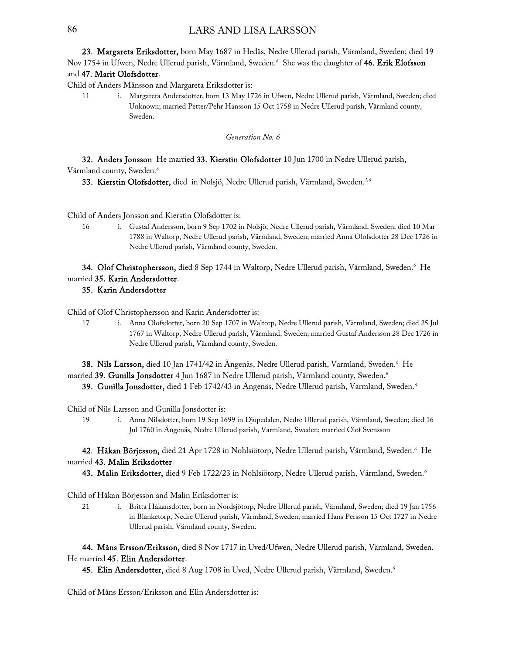### 86 LARS AND LISA LARSSON

23. Margareta Eriksdotter, born May 1687 in Hedås, Nedre Ullerud parish, Värmland, Sweden; died 19 Nov 1754 in Ufwen, Nedre Ullerud parish, Värmland, Sweden.<sup>6</sup> She was the daughter of **46. Erik Elofsson** and 47. Marit Olofsdotter.

Child of Anders Månsson and Margareta Eriksdotter is:

11 i. Margareta Andersdotter, born 13 May 1726 in Ufwen, Nedre Ullerud parish, Värmland, Sweden; died Unknown; married Petter/Pehr Hansson 15 Oct 1758 in Nedre Ullerud parish, Värmland county, Sweden.

### *Generation No. 6*

32. Anders Jonsson He married 33. Kierstin Olofsdotter 10 Jun 1700 in Nedre Ullerud parish, Värmland county, Sweden.*<sup>6</sup>*

33. Kierstin Olofsdotter, died in Nolsjö, Nedre Ullerud parish, Värmland, Sweden.*1,6*

Child of Anders Jonsson and Kierstin Olofsdotter is:

16 i. Gustaf Andersson, born 9 Sep 1702 in Nolsjö, Nedre Ullerud parish, Värmland, Sweden; died 10 Mar 1788 in Waltorp, Nedre Ullerud parish, Värmland, Sweden; married Anna Olofsdotter 28 Dec 1726 in Nedre Ullerud parish, Värmland county, Sweden.

34. Olof Christophersson, died 8 Sep 1744 in Waltorp, Nedre Ullerud parish, Värmland, Sweden.*<sup>6</sup>* He married 35. Karin Andersdotter.

### 35. Karin Andersdotter

Child of Olof Christophersson and Karin Andersdotter is:

17 i. Anna Olofsdotter, born 20 Sep 1707 in Waltorp, Nedre Ullerud parish, Värmland, Sweden; died 25 Jul 1767 in Waltorp, Nedre Ullerud parish, Värmland, Sweden; married Gustaf Andersson 28 Dec 1726 in Nedre Ullerud parish, Värmland county, Sweden.

38. Nils Larsson, died 10 Jan 1741/42 in Ängenäs, Nedre Ullerud parish, Varmland, Sweden.*<sup>6</sup>* He married 39. Gunilla Jonsdotter 4 Jun 1687 in Nedre Ullerud parish, Värmland county, Sweden.*<sup>6</sup>* 39. Gunilla Jonsdotter, died 1 Feb 1742/43 in Ängenäs, Nedre Ullerud parish, Varmland, Sweden.*<sup>6</sup>*

Child of Nils Larsson and Gunilla Jonsdotter is:

19 i. Anna Nilsdotter, born 19 Sep 1699 in Djupedalen, Nedre Ullerud parish, Värmland, Sweden; died 16 Jul 1760 in Ängenäs, Nedre Ullerud parish, Varmland, Sweden; married Olof Svensson

42. Håkan Börjesson, died 21 Apr 1728 in Nohlsiötorp, Nedre Ullerud parish, Värmland, Sweden.*<sup>6</sup>* He married 43. Malin Eriksdotter.

43. Malin Eriksdotter, died 9 Feb 1722/23 in Nohlsiötorp, Nedre Ullerud parish, Värmland, Sweden.*<sup>6</sup>*

Child of Håkan Börjesson and Malin Eriksdotter is:

21 i. Britta Håkansdotter, born in Nordsjötorp, Nedre Ullerud parish, Värmland, Sweden; died 19 Jan 1756 in Blanketorp, Nedre Ullerud parish, Värmland, Sweden; married Hans Persson 15 Oct 1727 in Nedre Ullerud parish, Värmland county, Sweden.

44. Måns Ersson/Eriksson, died 8 Nov 1717 in Uved/Ufwen, Nedre Ullerud parish, Värmland, Sweden. He married 45. Elin Andersdotter.

45. Elin Andersdotter, died 8 Aug 1708 in Uved, Nedre Ullerud parish, Värmland, Sweden.*<sup>6</sup>*

Child of Måns Ersson/Eriksson and Elin Andersdotter is: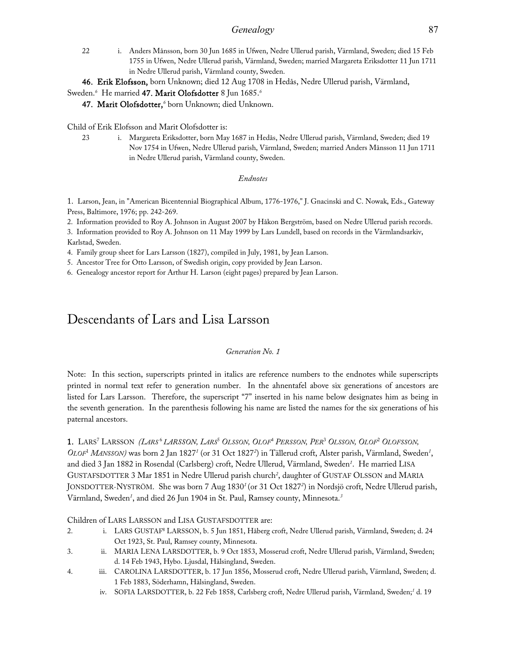### *Genealogy* 87

22 i. Anders Månsson, born 30 Jun 1685 in Ufwen, Nedre Ullerud parish, Värmland, Sweden; died 15 Feb 1755 in Ufwen, Nedre Ullerud parish, Värmland, Sweden; married Margareta Eriksdotter 11 Jun 1711 in Nedre Ullerud parish, Värmland county, Sweden.

46. Erik Elofsson, born Unknown; died 12 Aug 1708 in Hedås, Nedre Ullerud parish, Värmland,

### Sweden.*<sup>6</sup>* He married 47. Marit Olofsdotter 8 Jun 1685.*<sup>6</sup>*

47. Marit Olofsdotter,*<sup>6</sup>* born Unknown; died Unknown.

Child of Erik Elofsson and Marit Olofsdotter is:

23 i. Margareta Eriksdotter, born May 1687 in Hedås, Nedre Ullerud parish, Värmland, Sweden; died 19 Nov 1754 in Ufwen, Nedre Ullerud parish, Värmland, Sweden; married Anders Månsson 11 Jun 1711 in Nedre Ullerud parish, Värmland county, Sweden.

### *Endnotes*

1. Larson, Jean, in "American Bicentennial Biographical Album, 1776-1976," J. Gnacinski and C. Nowak, Eds., Gateway Press, Baltimore, 1976; pp. 242-269.

2. Information provided to Roy A. Johnson in August 2007 by Håkon Bergström, based on Nedre Ullerud parish records.

3. Information provided to Roy A. Johnson on 11 May 1999 by Lars Lundell, based on records in the Värmlandsarkiv, Karlstad, Sweden.

4. Family group sheet for Lars Larsson (1827), compiled in July, 1981, by Jean Larson.

5. Ancestor Tree for Otto Larsson, of Swedish origin, copy provided by Jean Larson.

6. Genealogy ancestor report for Arthur H. Larson (eight pages) prepared by Jean Larson.

## Descendants of Lars and Lisa Larsson

### *Generation No. 1*

Note: In this section, superscripts printed in italics are reference numbers to the endnotes while superscripts printed in normal text refer to generation number. In the ahnentafel above six generations of ancestors are listed for Lars Larsson. Therefore, the superscript "7" inserted in his name below designates him as being in the seventh generation. In the parenthesis following his name are listed the names for the six generations of his paternal ancestors.

### 1. LARS<sup>7</sup> LARSSON (LARS<sup>6</sup> LARSSON, LARS<sup>5</sup> OLSSON, OLOF<sup>4</sup> PERSSON, PER<sup>3</sup> OLSSON, OLOF<sup>2</sup> OLOFSSON, OLOF<sup>1</sup> MANSSON) was born 2 Jan 1827<sup>1</sup> (or 31 Oct 1827<sup>2</sup>) in Tällerud croft, Alster parish, Värmland, Sweden<sup>1</sup>, and died 3 Jan 1882 in Rosendal (Carlsberg) croft, Nedre Ullerud, Värmland, Sweden*<sup>1</sup>* . He married LISA GUSTAFSDOTTER 3 Mar 1851 in Nedre Ullerud parish church*<sup>2</sup>* , daughter of GUSTAF OLSSON and MARIA JONSDOTTER-NYSTRÖM. She was born 7 Aug 1830*<sup>1</sup>* (or 31 Oct 1827*<sup>2</sup>* ) in Nordsjö croft, Nedre Ullerud parish, Värmland, Sweden*<sup>1</sup>* , and died 26 Jun 1904 in St. Paul, Ramsey county, Minnesota.*<sup>3</sup>*

Children of LARS LARSSON and LISA GUSTAFSDOTTER are:

- 2. i. LARS GUSTAF8 LARSSON, b. 5 Jun 1851, Håberg croft, Nedre Ullerud parish, Värmland, Sweden; d. 24 Oct 1923, St. Paul, Ramsey county, Minnesota.
- 3. ii. MARIA LENA LARSDOTTER, b. 9 Oct 1853, Mosserud croft, Nedre Ullerud parish, Värmland, Sweden; d. 14 Feb 1943, Hybo. Ljusdal, Hälsingland, Sweden.
- 4. iii. CAROLINA LARSDOTTER, b. 17 Jun 1856, Mosserud croft, Nedre Ullerud parish, Värmland, Sweden; d. 1 Feb 1883, Söderhamn, Hälsingland, Sweden.
	- iv. SOFIA LARSDOTTER, b. 22 Feb 1858, Carlsberg croft, Nedre Ullerud parish, Värmland, Sweden;*<sup>1</sup>* d. 19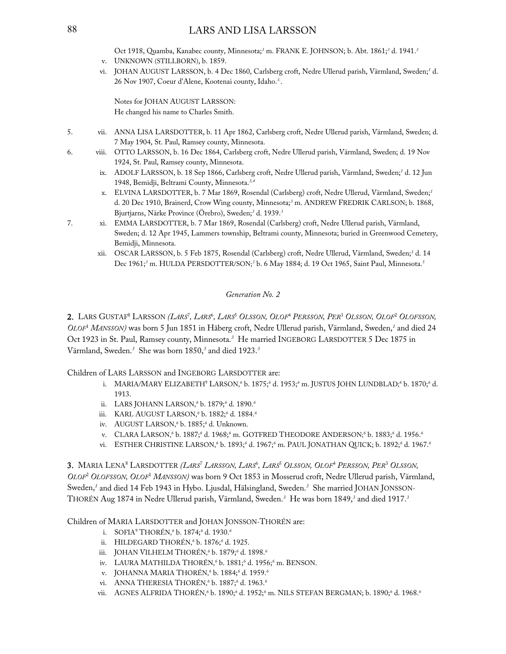### 88 LARS AND LISA LARSSON

Oct 1918, Quamba, Kanabec county, Minnesota;*<sup>3</sup>* m. FRANK E. JOHNSON; b. Abt. 1861;*<sup>3</sup>* d. 1941.*<sup>3</sup>*

- v. UNKNOWN (STILLBORN), b. 1859.
- vi. JOHAN AUGUST LARSSON, b. 4 Dec 1860, Carlsberg croft, Nedre Ullerud parish, Värmland, Sweden;*<sup>1</sup>* d. 26 Nov 1907, Coeur d'Alene, Kootenai county, Idaho.*3.*.

Notes for JOHAN AUGUST LARSSON: He changed his name to Charles Smith.

- 5. vii. ANNA LISA LARSDOTTER, b. 11 Apr 1862, Carlsberg croft, Nedre Ullerud parish, Värmland, Sweden; d. 7 May 1904, St. Paul, Ramsey county, Minnesota.
- 6. viii. OTTO LARSSON, b. 16 Dec 1864, Carlsberg croft, Nedre Ullerud parish, Värmland, Sweden; d. 19 Nov 1924, St. Paul, Ramsey county, Minnesota.
	- ix. ADOLF LARSSON, b. 18 Sep 1866, Carlsberg croft, Nedre Ullerud parish, Värmland, Sweden;*<sup>1</sup>* d. 12 Jun 1948, Bemidji, Beltrami County, Minnesota.*3,4*
	- x. ELVINA LARSDOTTER, b. 7 Mar 1869, Rosendal (Carlsberg) croft, Nedre Ullerud, Värmland, Sweden;*<sup>1</sup>* d. 20 Dec 1910, Brainerd, Crow Wing county, Minnesota;*<sup>3</sup>* m. ANDREW FREDRIK CARLSON; b. 1868, Bjurtjarns, Närke Province (Örebro), Sweden;*<sup>3</sup>* d. 1939.*<sup>3</sup>*
- 7. xi. EMMA LARSDOTTER, b. 7 Mar 1869, Rosendal (Carlsberg) croft, Nedre Ullerud parish, Värmland, Sweden; d. 12 Apr 1945, Lammers township, Beltrami county, Minnesota; buried in Greenwood Cemetery, Bemidji, Minnesota.
	- xii. OSCAR LARSSON, b. 5 Feb 1875, Rosendal (Carlsberg) croft, Nedre Ullerud, Värmland, Sweden;*<sup>1</sup>* d. 14 Dec 1961;*<sup>3</sup>* m. HULDA PERSDOTTER/SON;*<sup>3</sup>* b. 6 May 1884; d. 19 Oct 1965, Saint Paul, Minnesota.*<sup>5</sup>*

### *Generation No. 2*

2. LARS GUSTAF<sup>8</sup> LARSSON *(LARS<sup>7</sup>, LARS<sup>6</sup>, LARS<sup>5</sup> OLSSON, OLOF<sup>4</sup> PERSSON, PER<sup>3</sup> OLSSON, OLOF<sup>2</sup> OLOFSSON, OLOF*<sup>1</sup>  *MANSSON)* was born 5 Jun 1851 in Håberg croft, Nedre Ullerud parish, Värmland, Sweden,*<sup>1</sup>* and died 24 Oct 1923 in St. Paul, Ramsey county, Minnesota.*<sup>3</sup>* He married INGEBORG LARSDOTTER 5 Dec 1875 in Värmland, Sweden.*<sup>3</sup>* She was born 1850,*<sup>3</sup>* and died 1923.*<sup>3</sup>*

Children of LARS LARSSON and INGEBORG LARSDOTTER are:

- i. MARIA/MARY ELIZABETH<sup>9</sup> LARSON,<sup>6</sup> b. 1875;<sup>6</sup> d. 1953;<sup>6</sup> m. JUSTUS JOHN LUNDBLAD;<sup>6</sup> b. 1870;<sup>6</sup> d. 1913.
- ii. LARS JOHANN LARSON,*<sup>6</sup>* b. 1879;*<sup>6</sup>* d. 1890.*<sup>6</sup>*
- iii. KARL AUGUST LARSON,*<sup>6</sup>* b. 1882;*<sup>6</sup>* d. 1884.*<sup>6</sup>*
- iv. AUGUST LARSON,*<sup>6</sup>* b. 1885;*<sup>6</sup>* d. Unknown.
- v. CLARA LARSON,<sup>6</sup> b. 1887;<sup>6</sup> d. 1968;<sup>6</sup> m. GOTFRED THEODORE ANDERSON;<sup>6</sup> b. 1883;<sup>6</sup> d. 1956.<sup>6</sup>
- vi. ESTHER CHRISTINE LARSON,<sup>6</sup> b. 1893;<sup>6</sup> d. 1967;<sup>6</sup> m. PAUL JONATHAN QUICK; b. 1892;<sup>6</sup> d. 1967.<sup>6</sup>

3. MARIA LENA<sup>8</sup> LARSDOTTER *(LARS<sup>7</sup> LARSSON, LARS<sup>6</sup>, LARS<sup>5</sup> OLSSON, OLOF<sup>4</sup> PERSSON, PER<sup>3</sup> OLSSON, OLOF*<sup>2</sup>  *OLOFSSON, OLOF*<sup>1</sup>  *MANSSON)* was born 9 Oct 1853 in Mosserud croft, Nedre Ullerud parish, Värmland, Sweden,*<sup>1</sup>* and died 14 Feb 1943 in Hybo. Ljusdal, Hälsingland, Sweden.*<sup>3</sup>* She married JOHAN JONSSON-THORÉN Aug 1874 in Nedre Ullerud parish, Värmland, Sweden.*<sup>3</sup>* He was born 1849,*<sup>3</sup>* and died 1917.*<sup>3</sup>*

Children of MARIA LARSDOTTER and JOHAN JONSSON-THORÉN are:

- i. SOFIA9 THORÉN,*<sup>6</sup>* b. 1874;*<sup>6</sup>* d. 1930.*<sup>6</sup>*
- ii. HILDEGARD THORÉN,*<sup>6</sup>* b. 1876;*<sup>6</sup>* d. 1925.
- iii. JOHAN VILHELM THORÉN,*<sup>6</sup>* b. 1879;*<sup>6</sup>* d. 1898.*<sup>6</sup>*
- iv. LAURA MATHILDA THORÉN,*<sup>6</sup>* b. 1881;*<sup>6</sup>* d. 1956;*<sup>6</sup>* m. BENSON.
- v. JOHANNA MARIA THORÉN,*<sup>6</sup>* b. 1884;*<sup>6</sup>* d. 1959.*<sup>6</sup>*
- vi. ANNA THERESIA THORÉN,*<sup>6</sup>* b. 1887;*<sup>6</sup>* d. 1963.*<sup>6</sup>*
- vii. AGNES ALFRIDA THORÉN,<sup>6</sup> b. 1890;<sup>6</sup> d. 1952;<sup>6</sup> m. NILS STEFAN BERGMAN; b. 1890;<sup>6</sup> d. 1968.<sup>6</sup>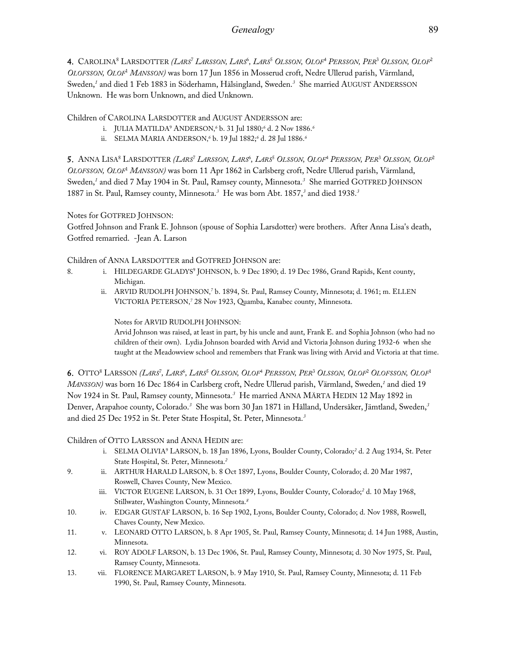4. CAROLINA<sup>8</sup> LARSDOTTER *(LARS<sup>7</sup> LARSSON, LARS<sup>6</sup>, LARS<sup>5</sup> Olsson, Olof<sup>4</sup> Persson, Per<sup>3</sup> Olsson, Olof<sup>2</sup> OLOFSSON, OLOF*<sup>1</sup>  *MANSSON)* was born 17 Jun 1856 in Mosserud croft, Nedre Ullerud parish, Värmland, Sweden,*<sup>1</sup>* and died 1 Feb 1883 in Söderhamn, Hälsingland, Sweden.*<sup>3</sup>* She married AUGUST ANDERSSON Unknown. He was born Unknown, and died Unknown.

Children of CAROLINA LARSDOTTER and AUGUST ANDERSSON are:

- i. JULIA MATILDA9 ANDERSON,*<sup>6</sup>* b. 31 Jul 1880;*<sup>6</sup>* d. 2 Nov 1886.*<sup>6</sup>*
- ii. SELMA MARIA ANDERSON,*<sup>6</sup>* b. 19 Jul 1882;*<sup>6</sup>* d. 28 Jul 1886.*<sup>6</sup>*

5. Anna Lisa<sup>8</sup> Larsdotter *(Lars<sup>7</sup> Larsson, Lars*<sup>6</sup>, *Lars<sup>5</sup> Olsson, Olof<sup>4</sup> Persson, Per<sup>3</sup> Olsson, Olof<sup>2</sup> OLOFSSON, OLOF*<sup>1</sup>  *MANSSON)* was born 11 Apr 1862 in Carlsberg croft, Nedre Ullerud parish, Värmland, Sweden,*<sup>1</sup>* and died 7 May 1904 in St. Paul, Ramsey county, Minnesota.*<sup>3</sup>* She married GOTFRED JOHNSON 1887 in St. Paul, Ramsey county, Minnesota.*<sup>3</sup>* He was born Abt. 1857,*<sup>3</sup>* and died 1938.*<sup>3</sup>*

Notes for GOTFRED JOHNSON:

Gotfred Johnson and Frank E. Johnson (spouse of Sophia Larsdotter) were brothers. After Anna Lisa's death, Gotfred remarried. -Jean A. Larson

Children of ANNA LARSDOTTER and GOTFRED JOHNSON are:

- 8. i. HILDEGARDE GLADYS<sup>9</sup> JOHNSON, b. 9 Dec 1890; d. 19 Dec 1986, Grand Rapids, Kent county, Michigan.
	- ii. ARVID RUDOLPH JOHNSON,*<sup>7</sup>* b. 1894, St. Paul, Ramsey County, Minnesota; d. 1961; m. ELLEN VICTORIA PETERSON,*<sup>7</sup>* 28 Nov 1923, Quamba, Kanabec county, Minnesota.

Notes for ARVID RUDOLPH JOHNSON:

Arvid Johnson was raised, at least in part, by his uncle and aunt, Frank E. and Sophia Johnson (who had no children of their own). Lydia Johnson boarded with Arvid and Victoria Johnson during 1932-6 when she taught at the Meadowview school and remembers that Frank was living with Arvid and Victoria at that time.

6. OTTO<sup>8</sup> LARSSON *(LARS<sup>7</sup>, LARS<sup>6</sup>, LARS<sup>5</sup> OLSSON, OLOF<sup>4</sup> PERSSON, PER<sup>3</sup> OLSSON, OLOF<sup>2</sup> OLOFSSON, OLOF<sup>1</sup> MANSSON)* was born 16 Dec 1864 in Carlsberg croft, Nedre Ullerud parish, Värmland, Sweden,*<sup>1</sup>* and died 19 Nov 1924 in St. Paul, Ramsey county, Minnesota.*<sup>3</sup>* He married ANNA MÄRTA HEDIN 12 May 1892 in Denver, Arapahoe county, Colorado.*<sup>3</sup>* She was born 30 Jan 1871 in Hålland, Undersåker, Jämtland, Sweden,*<sup>3</sup>* and died 25 Dec 1952 in St. Peter State Hospital, St. Peter, Minnesota.*<sup>3</sup>*

Children of OTTO LARSSON and ANNA HEDIN are:

- i. SELMA OLIVIA9 LARSON, b. 18 Jan 1896, Lyons, Boulder County, Colorado;*<sup>2</sup>* d. 2 Aug 1934, St. Peter State Hospital, St. Peter, Minnesota.*<sup>2</sup>*
- 9. ii. ARTHUR HARALD LARSON, b. 8 Oct 1897, Lyons, Boulder County, Colorado; d. 20 Mar 1987, Roswell, Chaves County, New Mexico.
	- iii. VICTOR EUGENE LARSON, b. 31 Oct 1899, Lyons, Boulder County, Colorado;<sup>2</sup> d. 10 May 1968, Stillwater, Washington County, Minnesota.*<sup>8</sup>*
- 10. iv. EDGAR GUSTAF LARSON, b. 16 Sep 1902, Lyons, Boulder County, Colorado; d. Nov 1988, Roswell, Chaves County, New Mexico.
- 11. v. LEONARD OTTO LARSON, b. 8 Apr 1905, St. Paul, Ramsey County, Minnesota; d. 14 Jun 1988, Austin, Minnesota.
- 12. vi. ROY ADOLF LARSON, b. 13 Dec 1906, St. Paul, Ramsey County, Minnesota; d. 30 Nov 1975, St. Paul, Ramsey County, Minnesota.
- 13. vii. FLORENCE MARGARET LARSON, b. 9 May 1910, St. Paul, Ramsey County, Minnesota; d. 11 Feb 1990, St. Paul, Ramsey County, Minnesota.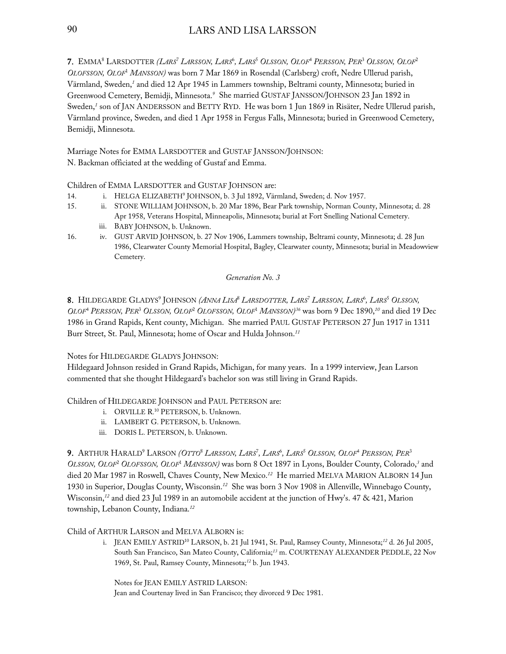7. EMMA<sup>8</sup> LARSDOTTER *(LARS<sup>7</sup> LARSSON, LARS<sup>6</sup>, LARS<sup>5</sup> OLSSON, OLOF<sup>4</sup> PERSSON, PER<sup>3</sup> OLSSON, OLOF<sup>2</sup> OLOFSSON, OLOF*<sup>1</sup>  *MANSSON)* was born 7 Mar 1869 in Rosendal (Carlsberg) croft, Nedre Ullerud parish, Värmland, Sweden,*<sup>1</sup>* and died 12 Apr 1945 in Lammers township, Beltrami county, Minnesota; buried in Greenwood Cemetery, Bemidji, Minnesota.*<sup>9</sup>* She married GUSTAF JANSSON/JOHNSON 23 Jan 1892 in Sweden,<sup>1</sup> son of JAN ANDERSSON and BETTY RYD. He was born 1 Jun 1869 in Risäter, Nedre Ullerud parish, Värmland province, Sweden, and died 1 Apr 1958 in Fergus Falls, Minnesota; buried in Greenwood Cemetery, Bemidji, Minnesota.

Marriage Notes for EMMA LARSDOTTER and GUSTAF JANSSON/JOHNSON: N. Backman officiated at the wedding of Gustaf and Emma.

Children of EMMA LARSDOTTER and GUSTAF JOHNSON are:

- 14. i. HELGA ELIZABETH9 JOHNSON, b. 3 Jul 1892, Värmland, Sweden; d. Nov 1957.
- 15. ii. STONE WILLIAM JOHNSON, b. 20 Mar 1896, Bear Park township, Norman County, Minnesota; d. 28 Apr 1958, Veterans Hospital, Minneapolis, Minnesota; burial at Fort Snelling National Cemetery.
	- iii. BABY JOHNSON, b. Unknown.
- 16. iv. GUST ARVID JOHNSON, b. 27 Nov 1906, Lammers township, Beltrami county, Minnesota; d. 28 Jun 1986, Clearwater County Memorial Hospital, Bagley, Clearwater county, Minnesota; burial in Meadowview Cemetery.

### *Generation No. 3*

8. HILDEGARDE GLADYS<sup>9</sup> JOHNSON *(ANNA LISA<sup>8</sup> LARSDOTTER, LARS<sup>7</sup> LARSSON, LARS<sup>6</sup>, LARS<sup>5</sup> OLSSON, OLOF*<sup>4</sup>  *PERSSON, PER*<sup>3</sup>  *OLSSON, OLOF*<sup>2</sup>  *OLOFSSON, OLOF*<sup>1</sup>  *MANSSON) <sup>36</sup>* was born 9 Dec 1890,*<sup>10</sup>* and died 19 Dec 1986 in Grand Rapids, Kent county, Michigan. She married PAUL GUSTAF PETERSON 27 Jun 1917 in 1311 Burr Street, St. Paul, Minnesota; home of Oscar and Hulda Johnson.*<sup>11</sup>*

Notes for HILDEGARDE GLADYS JOHNSON:

Hildegaard Johnson resided in Grand Rapids, Michigan, for many years. In a 1999 interview, Jean Larson commented that she thought Hildegaard's bachelor son was still living in Grand Rapids.

Children of HILDEGARDE JOHNSON and PAUL PETERSON are:

- i. ORVILLE R. 10 PETERSON, b. Unknown.
- ii. LAMBERT G. PETERSON, b. Unknown.
- iii. DORIS L. PETERSON, b. Unknown.

9. ARTHUR HARALD9 LARSON *(OTTO*<sup>8</sup>  *LARSSON, LARS*<sup>7</sup> *, LARS*<sup>6</sup> *, LARS*<sup>5</sup>  *OLSSON, OLOF*<sup>4</sup>  *PERSSON, PER*<sup>3</sup> OLSSON, OLOF<sup>2</sup> OLOFSSON, OLOF<sup>1</sup> MANSSON) was born 8 Oct 1897 in Lyons, Boulder County, Colorado,<sup>3</sup> and died 20 Mar 1987 in Roswell, Chaves County, New Mexico.*<sup>12</sup>* He married MELVA MARION ALBORN 14 Jun 1930 in Superior, Douglas County, Wisconsin.*<sup>12</sup>* She was born 3 Nov 1908 in Allenville, Winnebago County, Wisconsin,*<sup>12</sup>* and died 23 Jul 1989 in an automobile accident at the junction of Hwy's. 47 & 421, Marion township, Lebanon County, Indiana.*<sup>12</sup>*

### Child of ARTHUR LARSON and MELVA ALBORN is:

i. JEAN EMILY ASTRID10 LARSON, b. 21 Jul 1941, St. Paul, Ramsey County, Minnesota;*<sup>12</sup>* d. 26 Jul 2005, South San Francisco, San Mateo County, California;*<sup>13</sup>* m. COURTENAY ALEXANDER PEDDLE, 22 Nov 1969, St. Paul, Ramsey County, Minnesota;*<sup>12</sup>* b. Jun 1943.

Notes for JEAN EMILY ASTRID LARSON: Jean and Courtenay lived in San Francisco; they divorced 9 Dec 1981.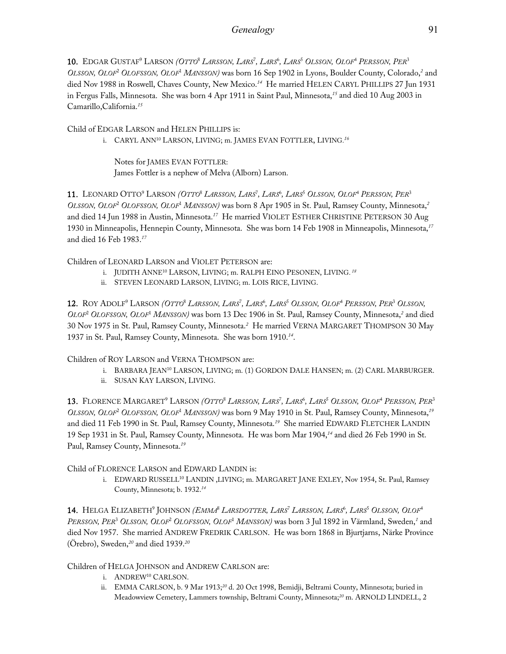**10.** Edgar Gustaf<sup>9</sup> Larson *(Otto<sup>8</sup> Larsson, Lars<sup>7</sup>, Lars<sup>6</sup>, Lars<sup>5</sup> Olsson, Olof<sup>4</sup> Persson, Per<sup>3</sup>* OLSSON, OLOF<sup>2</sup> OLOFSSON, OLOF<sup>1</sup> MANSSON) was born 16 Sep 1902 in Lyons, Boulder County, Colorado,<sup>2</sup> and died Nov 1988 in Roswell, Chaves County, New Mexico.*<sup>14</sup>* He married HELEN CARYL PHILLIPS 27 Jun 1931 in Fergus Falls, Minnesota. She was born 4 Apr 1911 in Saint Paul, Minnesota,*<sup>15</sup>* and died 10 Aug 2003 in Camarillo,California.*<sup>15</sup>*

Child of EDGAR LARSON and HELEN PHILLIPS is:

i. CARYL ANN10 LARSON, LIVING; m. JAMES EVAN FOTTLER, LIVING.*<sup>16</sup>*

Notes for JAMES EVAN FOTTLER: James Fottler is a nephew of Melva (Alborn) Larson.

11. LEONARD OTTO9 LARSON *(OTTO*<sup>8</sup>  *LARSSON, LARS*<sup>7</sup> *, LARS*<sup>6</sup> *, LARS*<sup>5</sup>  *OLSSON, OLOF*<sup>4</sup>  *PERSSON, PER*<sup>3</sup> OLSSON, OLOF<sup>2</sup> OLOFSSON, OLOF<sup>1</sup> MANSSON) was born 8 Apr 1905 in St. Paul, Ramsey County, Minnesota,<sup>2</sup> and died 14 Jun 1988 in Austin, Minnesota.*<sup>17</sup>* He married VIOLET ESTHER CHRISTINE PETERSON 30 Aug 1930 in Minneapolis, Hennepin County, Minnesota. She was born 14 Feb 1908 in Minneapolis, Minnesota,*<sup>17</sup>* and died 16 Feb 1983.*<sup>17</sup>*

Children of LEONARD LARSON and VIOLET PETERSON are:

- i. JUDITH ANNE10 LARSON, LIVING; m. RALPH EINO PESONEN, LIVING.*<sup>18</sup>*
- ii. STEVEN LEONARD LARSON, LIVING; m. LOIS RICE, LIVING.

12. ROY ADOLF<sup>9</sup> LARSON (OTTO<sup>8</sup> LARSSON, LARS<sup>7</sup>, LARS<sup>6</sup>, LARS<sup>5</sup> OLSSON, OLOF<sup>4</sup> PERSSON, PER<sup>3</sup> OLSSON, OLOF<sup>2</sup> OLOFSSON, OLOF<sup>1</sup> MANSSON) was born 13 Dec 1906 in St. Paul, Ramsey County, Minnesota,<sup>2</sup> and died 30 Nov 1975 in St. Paul, Ramsey County, Minnesota.*<sup>2</sup>* He married VERNA MARGARET THOMPSON 30 May 1937 in St. Paul, Ramsey County, Minnesota. She was born 1910.*<sup>14</sup>*.

Children of ROY LARSON and VERNA THOMPSON are:

- i. BARBARA JEAN10 LARSON, LIVING; m. (1) GORDON DALE HANSEN; m. (2) CARL MARBURGER.
- ii. SUSAN KAY LARSON, LIVING.

13. FLORENCE MARGARET<sup>9</sup> LARSON *(OTTO<sup>8</sup> LARSSON, LARS<sup>7</sup>, LARS<sup>6</sup>, LARS<sup>5</sup> OLSSON, OLOF<sup>4</sup> PERSSON, PER<sup>3</sup>* OLSSON, OLOF<sup>2</sup> OLOFSSON, OLOF<sup>1</sup> MANSSON) was born 9 May 1910 in St. Paul, Ramsey County, Minnesota,<sup>19</sup> and died 11 Feb 1990 in St. Paul, Ramsey County, Minnesota.*<sup>19</sup>* She married EDWARD FLETCHER LANDIN 19 Sep 1931 in St. Paul, Ramsey County, Minnesota. He was born Mar 1904,*<sup>14</sup>* and died 26 Feb 1990 in St. Paul, Ramsey County, Minnesota. *19*

Child of FLORENCE LARSON and EDWARD LANDIN is:

i. EDWARD RUSSELL<sup>10</sup> LANDIN, LIVING; m. MARGARET JANE EXLEY, Nov 1954, St. Paul, Ramsey County, Minnesota; b. 1932.*<sup>14</sup>*

**14.** Helga Elizabeth<sup>9</sup> Johnson *(Emma<sup>s</sup> Larsdotter, Lars<sup>7</sup> Larsson, Lars<sup>6</sup>, Lars<sup>5</sup> Olsson, Olof<sup>4</sup>* PERSSON, PER<sup>3</sup> OLSSON, OLOF<sup>2</sup> OLOFSSON, OLOF<sup>1</sup> MANSSON) was born 3 Jul 1892 in Värmland, Sweden,<sup>1</sup> and died Nov 1957. She married ANDREW FREDRIK CARLSON. He was born 1868 in Bjurtjarns, Närke Province (Örebro), Sweden,*<sup>20</sup>* and died 1939.*<sup>20</sup>*

Children of HELGA JOHNSON and ANDREW CARLSON are:

- i. ANDREW10 CARLSON.
- ii. EMMA CARLSON, b. 9 Mar 1913;*<sup>20</sup>* d. 20 Oct 1998, Bemidji, Beltrami County, Minnesota; buried in Meadowview Cemetery, Lammers township, Beltrami County, Minnesota;*20* m. ARNOLD LINDELL, 2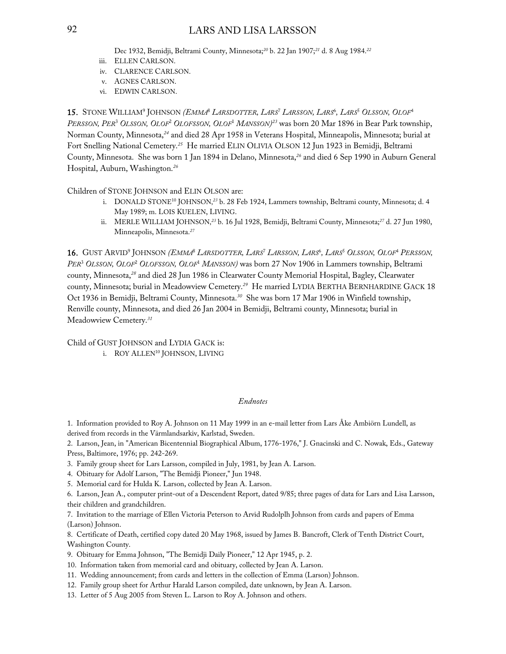### 92 LARS AND LISA LARSSON

Dec 1932, Bemidji, Beltrami County, Minnesota;*<sup>20</sup>* b. 22 Jan 1907;*<sup>21</sup>* d. 8 Aug 1984.*<sup>22</sup>*

- iii. ELLEN CARLSON.
- iv. CLARENCE CARLSON.
- v. AGNES CARLSON.
- vi. EDWIN CARLSON.

**15.** Stone William<sup>9</sup> Johnson *(Emma<sup>s</sup> Larsdotter, Lars<sup>7</sup> Larsson, Lars<sup>6</sup>, Lars<sup>5</sup> Olsson, Olof<sup>4</sup> PERSSON, PER*<sup>3</sup>  *OLSSON, OLOF*<sup>2</sup>  *OLOFSSON, OLOF*<sup>1</sup>  *MANSSON) <sup>23</sup>* was born 20 Mar 1896 in Bear Park township, Norman County, Minnesota,*<sup>24</sup>* and died 28 Apr 1958 in Veterans Hospital, Minneapolis, Minnesota; burial at Fort Snelling National Cemetery.*<sup>25</sup>* He married ELIN OLIVIA OLSON 12 Jun 1923 in Bemidji, Beltrami County, Minnesota. She was born 1 Jan 1894 in Delano, Minnesota,*<sup>26</sup>* and died 6 Sep 1990 in Auburn General Hospital, Auburn, Washington.*<sup>26</sup>*

Children of STONE JOHNSON and ELIN OLSON are:

- i. DONALD STONE<sup>10</sup> JOHNSON,<sup>23</sup> b. 28 Feb 1924, Lammers township, Beltrami county, Minnesota; d. 4 May 1989; m. LOIS KUELEN, LIVING.
- ii. MERLE WILLIAM JOHNSON,*<sup>23</sup>* b. 16 Jul 1928, Bemidji, Beltrami County, Minnesota;*<sup>27</sup>* d. 27 Jun 1980, Minneapolis, Minnesota.*<sup>27</sup>*

**16.** GUST ARVID<sup>9</sup> JOHNSON *(EMMA<sup>8</sup> LARSDOTTER, LARS<sup>7</sup> LARSSON, LARS<sup>6</sup>, LARS<sup>5</sup> OLSSON, OLOF<sup>4</sup> PERSSON,* PER<sup>3</sup> OLSSON, OLOF<sup>2</sup> OLOFSSON, OLOF<sup>1</sup> MANSSON) was born 27 Nov 1906 in Lammers township, Beltrami county, Minnesota,*<sup>28</sup>* and died 28 Jun 1986 in Clearwater County Memorial Hospital, Bagley, Clearwater county, Minnesota; burial in Meadowview Cemetery.*<sup>29</sup>* He married LYDIA BERTHA BERNHARDINE GACK 18 Oct 1936 in Bemidji, Beltrami County, Minnesota.*<sup>30</sup>* She was born 17 Mar 1906 in Winfield township, Renville county, Minnesota, and died 26 Jan 2004 in Bemidji, Beltrami county, Minnesota; burial in Meadowview Cemetery.*<sup>31</sup>*

Child of GUST JOHNSON and LYDIA GACK is:

i. ROY ALLEN<sup>10</sup> JOHNSON, LIVING

### *Endnotes*

1. Information provided to Roy A. Johnson on 11 May 1999 in an e-mail letter from Lars Åke Ambiörn Lundell, as derived from records in the Värmlandsarkiv, Karlstad, Sweden.

2. Larson, Jean, in "American Bicentennial Biographical Album, 1776-1976," J. Gnacinski and C. Nowak, Eds., Gateway Press, Baltimore, 1976; pp. 242-269.

- 3. Family group sheet for Lars Larsson, compiled in July, 1981, by Jean A. Larson.
- 4. Obituary for Adolf Larson, "The Bemidji Pioneer," Jun 1948.
- 5. Memorial card for Hulda K. Larson, collected by Jean A. Larson.

6. Larson, Jean A., computer print-out of a Descendent Report, dated 9/85; three pages of data for Lars and Lisa Larsson, their children and grandchildren.

7. Invitation to the marriage of Ellen Victoria Peterson to Arvid Rudolplh Johnson from cards and papers of Emma (Larson) Johnson.

8. Certificate of Death, certified copy dated 20 May 1968, issued by James B. Bancroft, Clerk of Tenth District Court, Washington County.

- 9. Obituary for Emma Johnson, "The Bemidji Daily Pioneer," 12 Apr 1945, p. 2.
- 10. Information taken from memorial card and obituary, collected by Jean A. Larson.
- 11. Wedding announcement; from cards and letters in the collection of Emma (Larson) Johnson.
- 12. Family group sheet for Arthur Harald Larson compiled, date unknown, by Jean A. Larson.
- 13. Letter of 5 Aug 2005 from Steven L. Larson to Roy A. Johnson and others.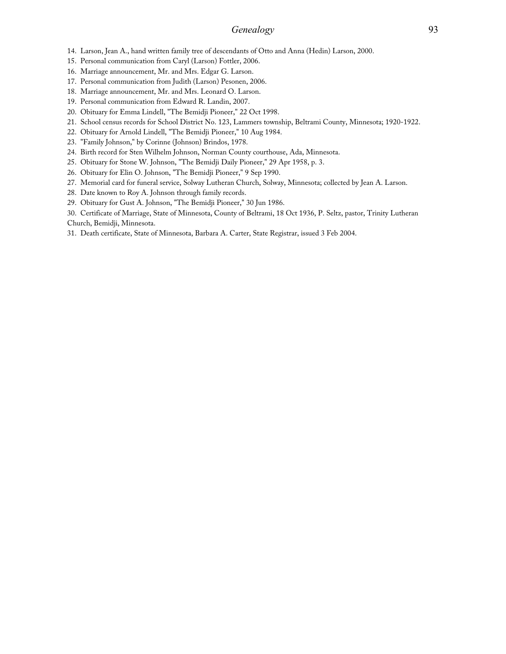### *Genealogy* 93

- 14. Larson, Jean A., hand written family tree of descendants of Otto and Anna (Hedin) Larson, 2000.
- 15. Personal communication from Caryl (Larson) Fottler, 2006.
- 16. Marriage announcement, Mr. and Mrs. Edgar G. Larson.
- 17. Personal communication from Judith (Larson) Pesonen, 2006.
- 18. Marriage announcement, Mr. and Mrs. Leonard O. Larson.
- 19. Personal communication from Edward R. Landin, 2007.
- 20. Obituary for Emma Lindell, "The Bemidji Pioneer," 22 Oct 1998.
- 21. School census records for School District No. 123, Lammers township, Beltrami County, Minnesota; 1920-1922.
- 22. Obituary for Arnold Lindell, "The Bemidji Pioneer," 10 Aug 1984.
- 23. "Family Johnson," by Corinne (Johnson) Brindos, 1978.
- 24. Birth record for Sten Wilhelm Johnson, Norman County courthouse, Ada, Minnesota.
- 25. Obituary for Stone W. Johnson, "The Bemidji Daily Pioneer," 29 Apr 1958, p. 3.
- 26. Obituary for Elin O. Johnson, "The Bemidji Pioneer," 9 Sep 1990.
- 27. Memorial card for funeral service, Solway Lutheran Church, Solway, Minnesota; collected by Jean A. Larson.
- 28. Date known to Roy A. Johnson through family records.
- 29. Obituary for Gust A. Johnson, "The Bemidji Pioneer," 30 Jun 1986.
- 30. Certificate of Marriage, State of Minnesota, County of Beltrami, 18 Oct 1936, P. Seltz, pastor, Trinity Lutheran Church, Bemidji, Minnesota.
- 31. Death certificate, State of Minnesota, Barbara A. Carter, State Registrar, issued 3 Feb 2004.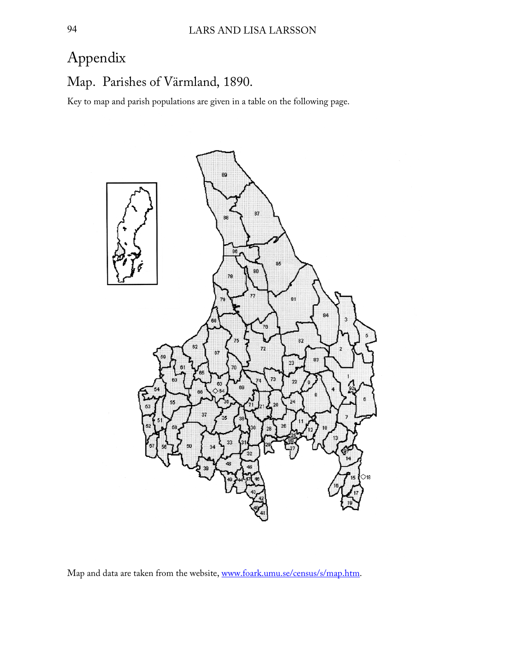# Appendix

Map. Parishes of Värmland, 1890.

Key to map and parish populations are given in a table on the following page.



Map and data are taken from the website, [www.foark.umu.se/census/s/map.htm.](http://www.foark.umu.se/census/s/map.htm)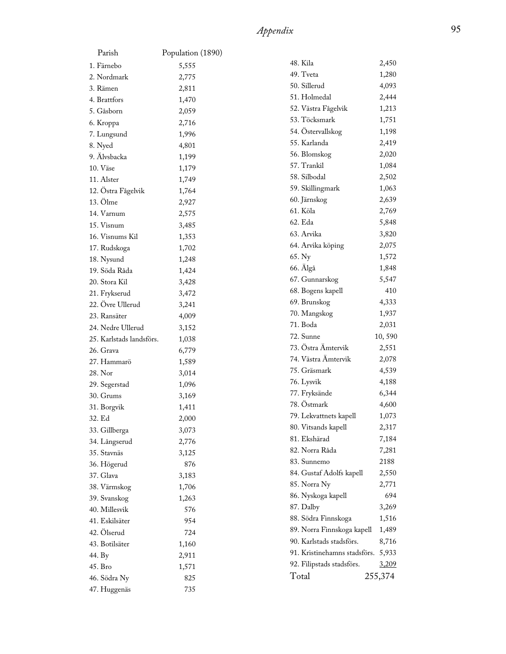| Parish                   | Population (1890) |                              |         |
|--------------------------|-------------------|------------------------------|---------|
| 1. Färnebo               | 5,555             | 48. Kila                     | 2,450   |
| 2. Nordmark              | 2,775             | 49. Tveta                    | 1,280   |
| 3. Rämen                 | 2,811             | 50. Sillerud                 | 4,093   |
| 4. Brattfors             | 1,470             | 51. Holmedal                 | 2,444   |
| 5. Gåsborn               | 2,059             | 52. Västra Fågelvik          | 1,213   |
| 6. Kroppa                | 2,716             | 53. Töcksmark                | 1,751   |
| 7. Lungsund              | 1,996             | 54. Östervallskog            | 1,198   |
| 8. Nyed                  | 4,801             | 55. Karlanda                 | 2,419   |
| 9. Älvsbacka             | 1,199             | 56. Blomskog                 | 2,020   |
| 10. Väse                 | 1,179             | 57. Trankil                  | 1,084   |
| 11. Alster               | 1,749             | 58. Silbodal                 | 2,502   |
| 12. Östra Fågelvik       | 1,764             | 59. Skillingmark             | 1,063   |
| 13. Ölme                 | 2,927             | 60. Järnskog                 | 2,639   |
| 14. Varnum               | 2,575             | 61. Köla                     | 2,769   |
| 15. Visnum               | 3,485             | 62. Eda                      | 5,848   |
| 16. Visnums Kil          | 1,353             | 63. Arvika                   | 3,820   |
| 17. Rudskoga             | 1,702             | 64. Arvika köping            | 2,075   |
| 18. Nysund               | 1,248             | 65. Ny                       | 1,572   |
| 19. Söda Råda            | 1,424             | 66. Älgå                     | 1,848   |
| 20. Stora Kil            | 3,428             | 67. Gunnarskog               | 5,547   |
| 21. Frykserud            |                   | 68. Bogens kapell            | 410     |
| 22. Övre Ullerud         | 3,472             | 69. Brunskog                 | 4,333   |
| 23. Ransäter             | 3,241             | 70. Mangskog                 | 1,937   |
| 24. Nedre Ullerud        | 4,009             | 71. Boda                     | 2,031   |
|                          | 3,152             | 72. Sunne                    | 10,590  |
| 25. Karlstads landsförs. | 1,038             | 73. Östra Ämtervik           | 2,551   |
| 26. Grava                | 6,779             | 74. Västra Ämtervik          | 2,078   |
| 27. Hammarö              | 1,589             | 75. Gräsmark                 | 4,539   |
| 28. Nor                  | 3,014             | 76. Lysvik                   | 4,188   |
| 29. Segerstad            | 1,096             | 77. Fryksände                | 6,344   |
| 30. Grums                | 3,169             | 78. Östmark                  | 4,600   |
| 31. Borgvik              | 1,411             | 79. Lekvattnets kapell       | 1,073   |
| 32. Ed                   | 2,000             | 80. Vitsands kapell          | 2,317   |
| 33. Gillberga            | 3,073             | 81. Ekshärad                 | 7,184   |
| 34. Långserud            | 2,776             | 82. Norra Råda               |         |
| 35. Stavnäs              | 3,125             |                              | 7,281   |
| 36. Högerud              | 876               | 83. Sunnemo                  | 2188    |
| 37. Glava                | 3,183             | 84. Gustaf Adolfs kapell     | 2,550   |
| 38. Värmskog             | 1,706             | 85. Norra Ny                 | 2,771   |
| 39. Svanskog             | 1,263             | 86. Nyskoga kapell           | 694     |
| 40. Millesvik            | 576               | 87. Dalby                    | 3,269   |
| 41. Eskilsäter           | 954               | 88. Södra Finnskoga          | 1,516   |
| 42. Ölserud              | 724               | 89. Norra Finnskoga kapell   | 1,489   |
| 43. Botilsäter           | 1,160             | 90. Karlstads stadsförs.     | 8,716   |
| 44. By                   | 2,911             | 91. Kristinehamns stadsförs. | 5,933   |
| 45. Bro                  | 1,571             | 92. Filipstads stadsförs.    | 3,209   |
| 46. Södra Ny             | 825               | Total                        | 255,374 |
| 47. Huggenäs             | 735               |                              |         |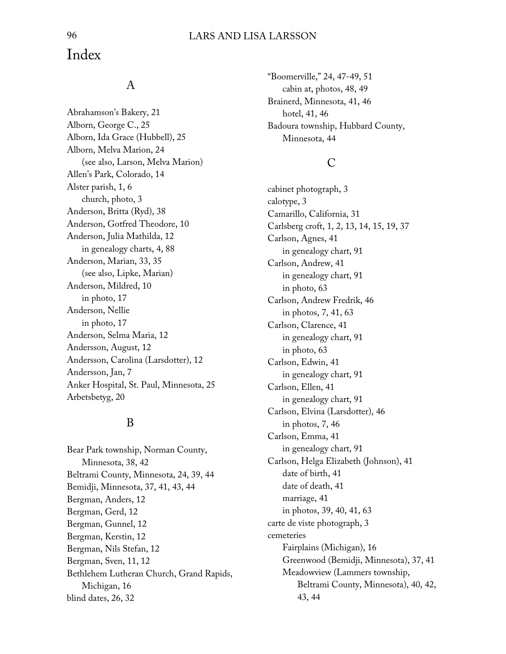## Index

## A

Abrahamson's Bakery, 21 Alborn, George C., 25 Alborn, Ida Grace (Hubbell), 25 Alborn, Melva Marion, 24 (see also, Larson, Melva Marion) Allen's Park, Colorado, 14 Alster parish, 1, 6 church, photo, 3 Anderson, Britta (Ryd), 38 Anderson, Gotfred Theodore, 10 Anderson, Julia Mathilda, 12 in genealogy charts, 4, 88 Anderson, Marian, 33, 35 (see also, Lipke, Marian) Anderson, Mildred, 10 in photo, 17 Anderson, Nellie in photo, 17 Anderson, Selma Maria, 12 Andersson, August, 12 Andersson, Carolina (Larsdotter), 12 Andersson, Jan, 7 Anker Hospital, St. Paul, Minnesota, 25 Arbetsbetyg, 20

## B

Bear Park township, Norman County, Minnesota, 38, 42 Beltrami County, Minnesota, 24, 39, 44 Bemidji, Minnesota, 37, 41, 43, 44 Bergman, Anders, 12 Bergman, Gerd, 12 Bergman, Gunnel, 12 Bergman, Kerstin, 12 Bergman, Nils Stefan, 12 Bergman, Sven, 11, 12 Bethlehem Lutheran Church, Grand Rapids, Michigan, 16 blind dates, 26, 32

"Boomerville," 24, 47-49, 51 cabin at, photos, 48, 49 Brainerd, Minnesota, 41, 46 hotel, 41, 46 Badoura township, Hubbard County, Minnesota, 44

## C

cabinet photograph, 3 calotype, 3 Camarillo, California, 31 Carlsberg croft, 1, 2, 13, 14, 15, 19, 37 Carlson, Agnes, 41 in genealogy chart, 91 Carlson, Andrew, 41 in genealogy chart, 91 in photo, 63 Carlson, Andrew Fredrik, 46 in photos, 7, 41, 63 Carlson, Clarence, 41 in genealogy chart, 91 in photo, 63 Carlson, Edwin, 41 in genealogy chart, 91 Carlson, Ellen, 41 in genealogy chart, 91 Carlson, Elvina (Larsdotter), 46 in photos, 7, 46 Carlson, Emma, 41 in genealogy chart, 91 Carlson, Helga Elizabeth (Johnson), 41 date of birth, 41 date of death, 41 marriage, 41 in photos, 39, 40, 41, 63 carte de viste photograph, 3 cemeteries Fairplains (Michigan), 16 Greenwood (Bemidji, Minnesota), 37, 41 Meadowview (Lammers township, Beltrami County, Minnesota), 40, 42, 43, 44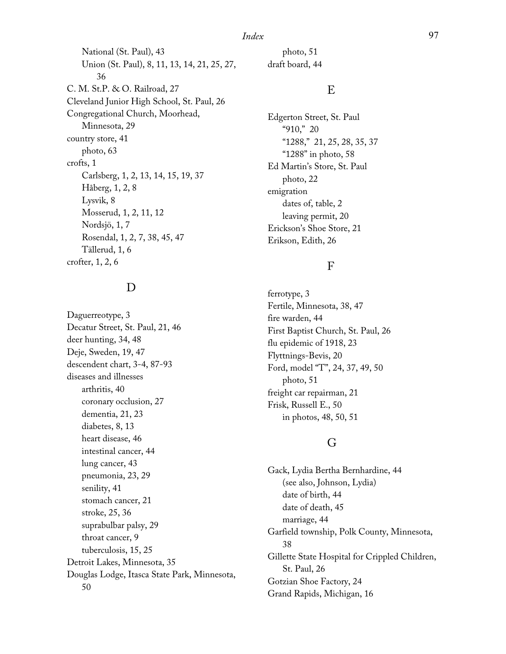*Index* 97

National (St. Paul), 43 Union (St. Paul), 8, 11, 13, 14, 21, 25, 27, 36 C. M. St.P. & O. Railroad, 27 Cleveland Junior High School, St. Paul, 26 Congregational Church, Moorhead, Minnesota, 29 country store, 41 photo, 63 crofts, 1 Carlsberg, 1, 2, 13, 14, 15, 19, 37 Håberg, 1, 2, 8 Lysvik, 8 Mosserud, 1, 2, 11, 12 Nordsjö, 1, 7 Rosendal, 1, 2, 7, 38, 45, 47 Tällerud, 1, 6 crofter, 1, 2, 6

## D

Daguerreotype, 3 Decatur Street, St. Paul, 21, 46 deer hunting, 34, 48 Deje, Sweden, 19, 47 descendent chart, 3-4, 87-93 diseases and illnesses arthritis, 40 coronary occlusion, 27 dementia, 21, 23 diabetes, 8, 13 heart disease, 46 intestinal cancer, 44 lung cancer, 43 pneumonia, 23, 29 senility, 41 stomach cancer, 21 stroke, 25, 36 suprabulbar palsy, 29 throat cancer, 9 tuberculosis, 15, 25 Detroit Lakes, Minnesota, 35 Douglas Lodge, Itasca State Park, Minnesota, 50

photo, 51 draft board, 44

## E

Edgerton Street, St. Paul "910," 20 "1288," 21, 25, 28, 35, 37 "1288" in photo, 58 Ed Martin's Store, St. Paul photo, 22 emigration dates of, table, 2 leaving permit, 20 Erickson's Shoe Store, 21 Erikson, Edith, 26

### F

ferrotype, 3 Fertile, Minnesota, 38, 47 fire warden, 44 First Baptist Church, St. Paul, 26 flu epidemic of 1918, 23 Flyttnings-Bevis, 20 Ford, model "T", 24, 37, 49, 50 photo, 51 freight car repairman, 21 Frisk, Russell E., 50 in photos, 48, 50, 51

## G

Gack, Lydia Bertha Bernhardine, 44 (see also, Johnson, Lydia) date of birth, 44 date of death, 45 marriage, 44 Garfield township, Polk County, Minnesota, 38 Gillette State Hospital for Crippled Children, St. Paul, 26 Gotzian Shoe Factory, 24 Grand Rapids, Michigan, 16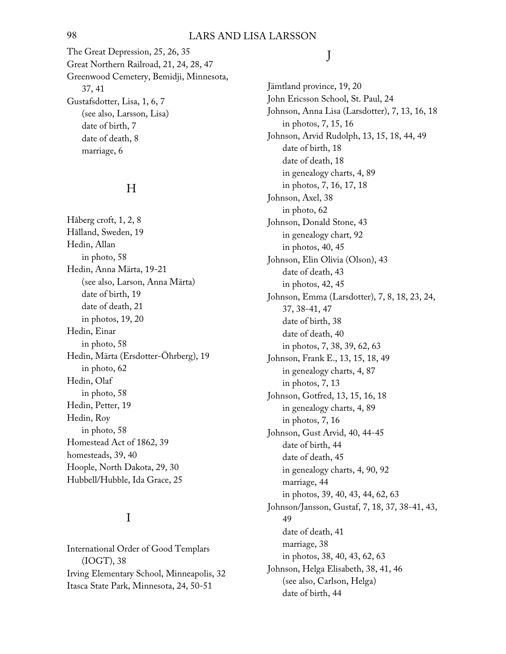The Great Depression, 25, 26, 35 Great Northern Railroad, 21, 24, 28, 47 Greenwood Cemetery, Bemidji, Minnesota, 37, 41 Gustafsdotter, Lisa, 1, 6, 7 (see also, Larsson, Lisa) date of birth, 7 date of death, 8 marriage, 6

## H

Håberg croft, 1, 2, 8 Hålland, Sweden, 19 Hedin, Allan in photo, 58 Hedin, Anna Märta, 19-21 (see also, Larson, Anna Märta) date of birth, 19 date of death, 21 in photos, 19, 20 Hedin, Einar in photo, 58 Hedin, Märta (Ersdotter-Öhrberg), 19 in photo, 62 Hedin, Olaf in photo, 58 Hedin, Petter, 19 Hedin, Roy in photo, 58 Homestead Act of 1862, 39 homesteads, 39, 40 Hoople, North Dakota, 29, 30 Hubbell/Hubble, Ida Grace, 25

## I

International Order of Good Templars (IOGT), 38 Irving Elementary School, Minneapolis, 32 Itasca State Park, Minnesota, 24, 50-51

## J

Jämtland province, 19, 20 John Ericsson School, St. Paul, 24 Johnson, Anna Lisa (Larsdotter), 7, 13, 16, 18 in photos, 7, 15, 16 Johnson, Arvid Rudolph, 13, 15, 18, 44, 49 date of birth, 18 date of death, 18 in genealogy charts, 4, 89 in photos, 7, 16, 17, 18 Johnson, Axel, 38 in photo, 62 Johnson, Donald Stone, 43 in genealogy chart, 92 in photos, 40, 45 Johnson, Elin Olivia (Olson), 43 date of death, 43 in photos, 42, 45 Johnson, Emma (Larsdotter), 7, 8, 18, 23, 24, 37, 38-41, 47 date of birth, 38 date of death, 40 in photos, 7, 38, 39, 62, 63 Johnson, Frank E., 13, 15, 18, 49 in genealogy charts, 4, 87 in photos, 7, 13 Johnson, Gotfred, 13, 15, 16, 18 in genealogy charts, 4, 89 in photos, 7, 16 Johnson, Gust Arvid, 40, 44-45 date of birth, 44 date of death, 45 in genealogy charts, 4, 90, 92 marriage, 44 in photos, 39, 40, 43, 44, 62, 63 Johnson/Jansson, Gustaf, 7, 18, 37, 38-41, 43, 49 date of death, 41 marriage, 38 in photos, 38, 40, 43, 62, 63 Johnson, Helga Elisabeth, 38, 41, 46 (see also, Carlson, Helga) date of birth, 44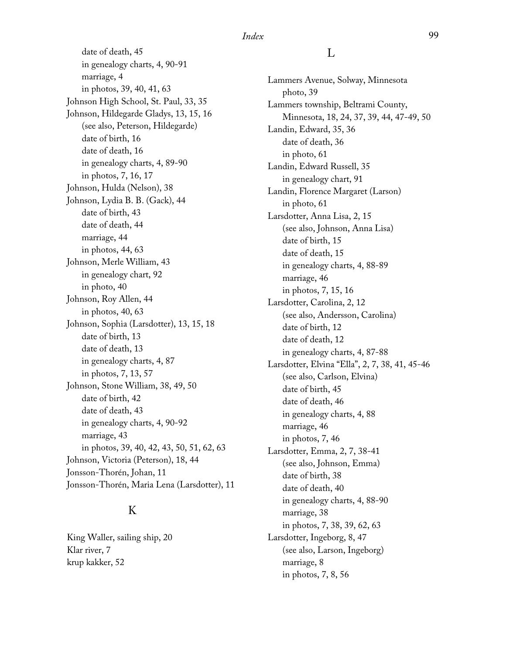date of death, 45 in genealogy charts, 4, 90-91 marriage, 4 in photos, 39, 40, 41, 63 Johnson High School, St. Paul, 33, 35 Johnson, Hildegarde Gladys, 13, 15, 16 (see also, Peterson, Hildegarde) date of birth, 16 date of death, 16 in genealogy charts, 4, 89-90 in photos, 7, 16, 17 Johnson, Hulda (Nelson), 38 Johnson, Lydia B. B. (Gack), 44 date of birth, 43 date of death, 44 marriage, 44 in photos, 44, 63 Johnson, Merle William, 43 in genealogy chart, 92 in photo, 40 Johnson, Roy Allen, 44 in photos, 40, 63 Johnson, Sophia (Larsdotter), 13, 15, 18 date of birth, 13 date of death, 13 in genealogy charts, 4, 87 in photos, 7, 13, 57 Johnson, Stone William, 38, 49, 50 date of birth, 42 date of death, 43 in genealogy charts, 4, 90-92 marriage, 43 in photos, 39, 40, 42, 43, 50, 51, 62, 63 Johnson, Victoria (Peterson), 18, 44 Jonsson-Thorén, Johan, 11 Jonsson-Thorén, Maria Lena (Larsdotter), 11

## K

King Waller, sailing ship, 20 Klar river, 7 krup kakker, 52

### L

Lammers Avenue, Solway, Minnesota photo, 39 Lammers township, Beltrami County, Minnesota, 18, 24, 37, 39, 44, 47-49, 50 Landin, Edward, 35, 36 date of death, 36 in photo, 61 Landin, Edward Russell, 35 in genealogy chart, 91 Landin, Florence Margaret (Larson) in photo, 61 Larsdotter, Anna Lisa, 2, 15 (see also, Johnson, Anna Lisa) date of birth, 15 date of death, 15 in genealogy charts, 4, 88-89 marriage, 46 in photos, 7, 15, 16 Larsdotter, Carolina, 2, 12 (see also, Andersson, Carolina) date of birth, 12 date of death, 12 in genealogy charts, 4, 87-88 Larsdotter, Elvina "Ella", 2, 7, 38, 41, 45-46 (see also, Carlson, Elvina) date of birth, 45 date of death, 46 in genealogy charts, 4, 88 marriage, 46 in photos, 7, 46 Larsdotter, Emma, 2, 7, 38-41 (see also, Johnson, Emma) date of birth, 38 date of death, 40 in genealogy charts, 4, 88-90 marriage, 38 in photos, 7, 38, 39, 62, 63 Larsdotter, Ingeborg, 8, 47 (see also, Larson, Ingeborg) marriage, 8 in photos, 7, 8, 56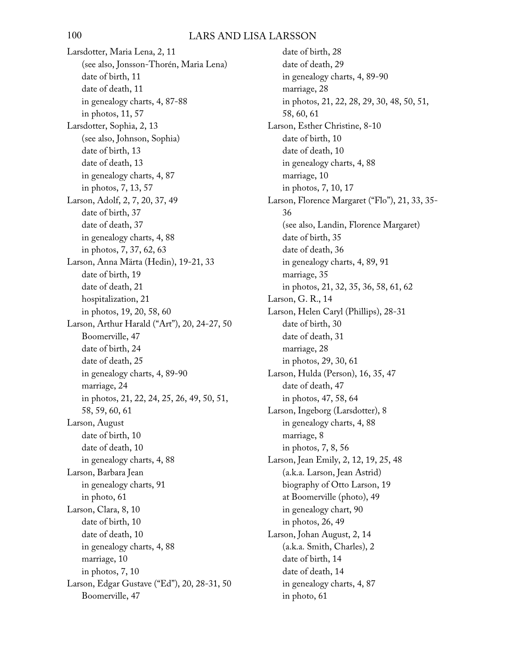Larsdotter, Maria Lena, 2, 11 (see also, Jonsson-Thorén, Maria Lena) date of birth, 11 date of death, 11 in genealogy charts, 4, 87-88 in photos, 11, 57 Larsdotter, Sophia, 2, 13 (see also, Johnson, Sophia) date of birth, 13 date of death, 13 in genealogy charts, 4, 87 in photos, 7, 13, 57 Larson, Adolf, 2, 7, 20, 37, 49 date of birth, 37 date of death, 37 in genealogy charts, 4, 88 in photos, 7, 37, 62, 63 Larson, Anna Märta (Hedin), 19-21, 33 date of birth, 19 date of death, 21 hospitalization, 21 in photos, 19, 20, 58, 60 Larson, Arthur Harald ("Art"), 20, 24-27, 50 Boomerville, 47 date of birth, 24 date of death, 25 in genealogy charts, 4, 89-90 marriage, 24 in photos, 21, 22, 24, 25, 26, 49, 50, 51, 58, 59, 60, 61 Larson, August date of birth, 10 date of death, 10 in genealogy charts, 4, 88 Larson, Barbara Jean in genealogy charts, 91 in photo, 61 Larson, Clara, 8, 10 date of birth, 10 date of death, 10 in genealogy charts, 4, 88 marriage, 10 in photos, 7, 10 Larson, Edgar Gustave ("Ed"), 20, 28-31, 50 Boomerville, 47

date of birth, 28 date of death, 29 in genealogy charts, 4, 89-90 marriage, 28 in photos, 21, 22, 28, 29, 30, 48, 50, 51, 58, 60, 61 Larson, Esther Christine, 8-10 date of birth, 10 date of death, 10 in genealogy charts, 4, 88 marriage, 10 in photos, 7, 10, 17 Larson, Florence Margaret ("Flo"), 21, 33, 35- 36 (see also, Landin, Florence Margaret) date of birth, 35 date of death, 36 in genealogy charts, 4, 89, 91 marriage, 35 in photos, 21, 32, 35, 36, 58, 61, 62 Larson, G. R., 14 Larson, Helen Caryl (Phillips), 28-31 date of birth, 30 date of death, 31 marriage, 28 in photos, 29, 30, 61 Larson, Hulda (Person), 16, 35, 47 date of death, 47 in photos, 47, 58, 64 Larson, Ingeborg (Larsdotter), 8 in genealogy charts, 4, 88 marriage, 8 in photos, 7, 8, 56 Larson, Jean Emily, 2, 12, 19, 25, 48 (a.k.a. Larson, Jean Astrid) biography of Otto Larson, 19 at Boomerville (photo), 49 in genealogy chart, 90 in photos, 26, 49 Larson, Johan August, 2, 14 (a.k.a. Smith, Charles), 2 date of birth, 14 date of death, 14 in genealogy charts, 4, 87 in photo, 61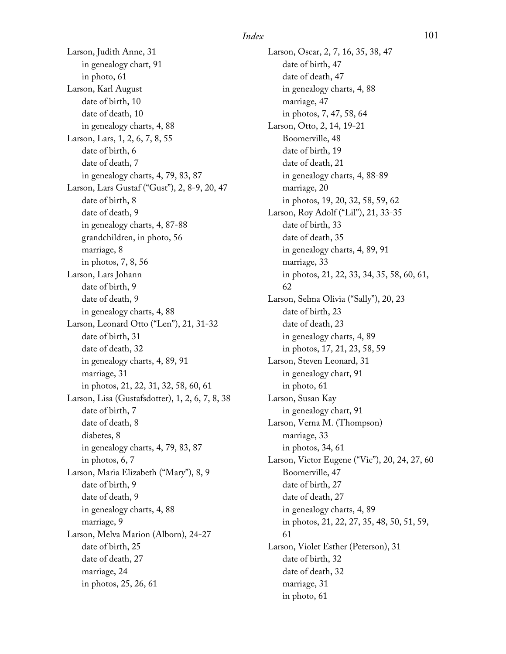Larson, Judith Anne, 31 in genealogy chart, 91 in photo, 61 Larson, Karl August date of birth, 10 date of death, 10 in genealogy charts, 4, 88 Larson, Lars, 1, 2, 6, 7, 8, 55 date of birth, 6 date of death, 7 in genealogy charts, 4, 79, 83, 87 Larson, Lars Gustaf ("Gust"), 2, 8-9, 20, 47 date of birth, 8 date of death, 9 in genealogy charts, 4, 87-88 grandchildren, in photo, 56 marriage, 8 in photos, 7, 8, 56 Larson, Lars Johann date of birth, 9 date of death, 9 in genealogy charts, 4, 88 Larson, Leonard Otto ("Len"), 21, 31-32 date of birth, 31 date of death, 32 in genealogy charts, 4, 89, 91 marriage, 31 in photos, 21, 22, 31, 32, 58, 60, 61 Larson, Lisa (Gustafsdotter), 1, 2, 6, 7, 8, 38 date of birth, 7 date of death, 8 diabetes, 8 in genealogy charts, 4, 79, 83, 87 in photos, 6, 7 Larson, Maria Elizabeth ("Mary"), 8, 9 date of birth, 9 date of death, 9 in genealogy charts, 4, 88 marriage, 9 Larson, Melva Marion (Alborn), 24-27 date of birth, 25 date of death, 27 marriage, 24 in photos, 25, 26, 61

Larson, Oscar, 2, 7, 16, 35, 38, 47 date of birth, 47 date of death, 47 in genealogy charts, 4, 88 marriage, 47 in photos, 7, 47, 58, 64 Larson, Otto, 2, 14, 19-21 Boomerville, 48 date of birth, 19 date of death, 21 in genealogy charts, 4, 88-89 marriage, 20 in photos, 19, 20, 32, 58, 59, 62 Larson, Roy Adolf ("Lil"), 21, 33-35 date of birth, 33 date of death, 35 in genealogy charts, 4, 89, 91 marriage, 33 in photos, 21, 22, 33, 34, 35, 58, 60, 61, 62 Larson, Selma Olivia ("Sally"), 20, 23 date of birth, 23 date of death, 23 in genealogy charts, 4, 89 in photos, 17, 21, 23, 58, 59 Larson, Steven Leonard, 31 in genealogy chart, 91 in photo, 61 Larson, Susan Kay in genealogy chart, 91 Larson, Verna M. (Thompson) marriage, 33 in photos, 34, 61 Larson, Victor Eugene ("Vic"), 20, 24, 27, 60 Boomerville, 47 date of birth, 27 date of death, 27 in genealogy charts, 4, 89 in photos, 21, 22, 27, 35, 48, 50, 51, 59, 61 Larson, Violet Esther (Peterson), 31 date of birth, 32 date of death, 32 marriage, 31

in photo, 61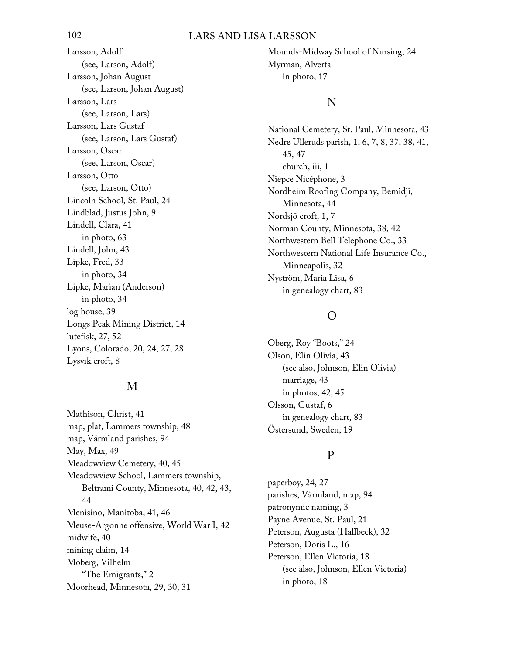### 102 LARS AND LISA LARSSON

Larsson, Adolf (see, Larson, Adolf) Larsson, Johan August (see, Larson, Johan August) Larsson, Lars (see, Larson, Lars) Larsson, Lars Gustaf (see, Larson, Lars Gustaf) Larsson, Oscar (see, Larson, Oscar) Larsson, Otto (see, Larson, Otto) Lincoln School, St. Paul, 24 Lindblad, Justus John, 9 Lindell, Clara, 41 in photo, 63 Lindell, John, 43 Lipke, Fred, 33 in photo, 34 Lipke, Marian (Anderson) in photo, 34 log house, 39 Longs Peak Mining District, 14 lutefisk, 27, 52 Lyons, Colorado, 20, 24, 27, 28 Lysvik croft, 8

### M

Mathison, Christ, 41 map, plat, Lammers township, 48 map, Värmland parishes, 94 May, Max, 49 Meadowview Cemetery, 40, 45 Meadowview School, Lammers township, Beltrami County, Minnesota, 40, 42, 43, 44 Menisino, Manitoba, 41, 46 Meuse-Argonne offensive, World War I, 42 midwife, 40 mining claim, 14 Moberg, Vilhelm "The Emigrants," 2 Moorhead, Minnesota, 29, 30, 31

Mounds-Midway School of Nursing, 24 Myrman, Alverta in photo, 17

### N

National Cemetery, St. Paul, Minnesota, 43 Nedre Ulleruds parish, 1, 6, 7, 8, 37, 38, 41, 45, 47 church, iii, 1 Niépce Nicéphone, 3 Nordheim Roofing Company, Bemidji, Minnesota, 44 Nordsjö croft, 1, 7 Norman County, Minnesota, 38, 42 Northwestern Bell Telephone Co., 33 Northwestern National Life Insurance Co., Minneapolis, 32 Nyström, Maria Lisa, 6 in genealogy chart, 83

### O

Oberg, Roy "Boots," 24 Olson, Elin Olivia, 43 (see also, Johnson, Elin Olivia) marriage, 43 in photos, 42, 45 Olsson, Gustaf, 6 in genealogy chart, 83 Östersund, Sweden, 19

### P

paperboy, 24, 27 parishes, Värmland, map, 94 patronymic naming, 3 Payne Avenue, St. Paul, 21 Peterson, Augusta (Hallbeck), 32 Peterson, Doris L., 16 Peterson, Ellen Victoria, 18 (see also, Johnson, Ellen Victoria) in photo, 18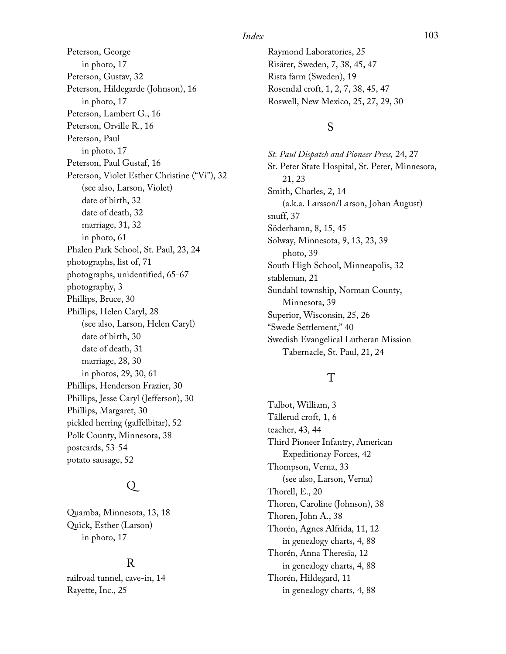Peterson, George in photo, 17 Peterson, Gustav, 32 Peterson, Hildegarde (Johnson), 16 in photo, 17 Peterson, Lambert G., 16 Peterson, Orville R., 16 Peterson, Paul in photo, 17 Peterson, Paul Gustaf, 16 Peterson, Violet Esther Christine ("Vi"), 32 (see also, Larson, Violet) date of birth, 32 date of death, 32 marriage, 31, 32 in photo, 61 Phalen Park School, St. Paul, 23, 24 photographs, list of, 71 photographs, unidentified, 65-67 photography, 3 Phillips, Bruce, 30 Phillips, Helen Caryl, 28 (see also, Larson, Helen Caryl) date of birth, 30 date of death, 31 marriage, 28, 30 in photos, 29, 30, 61 Phillips, Henderson Frazier, 30 Phillips, Jesse Caryl (Jefferson), 30 Phillips, Margaret, 30 pickled herring (gaffelbitar), 52 Polk County, Minnesota, 38 postcards, 53-54 potato sausage, 52

## Q

Quamba, Minnesota, 13, 18 Quick, Esther (Larson) in photo, 17

## R

railroad tunnel, cave-in, 14 Rayette, Inc., 25

Raymond Laboratories, 25 Risäter, Sweden, 7, 38, 45, 47 Rista farm (Sweden), 19 Rosendal croft, 1, 2, 7, 38, 45, 47 Roswell, New Mexico, 25, 27, 29, 30

## S

*St. Paul Dispatch and Pioneer Press,* 24, 27 St. Peter State Hospital, St. Peter, Minnesota, 21, 23 Smith, Charles, 2, 14 (a.k.a. Larsson/Larson, Johan August) snuff, 37 Söderhamn, 8, 15, 45 Solway, Minnesota, 9, 13, 23, 39 photo, 39 South High School, Minneapolis, 32 stableman, 21 Sundahl township, Norman County, Minnesota, 39 Superior, Wisconsin, 25, 26 "Swede Settlement," 40 Swedish Evangelical Lutheran Mission Tabernacle, St. Paul, 21, 24

## $\rm T$

Talbot, William, 3 Tällerud croft, 1, 6 teacher, 43, 44 Third Pioneer Infantry, American Expeditionay Forces, 42 Thompson, Verna, 33 (see also, Larson, Verna) Thorell, E., 20 Thoren, Caroline (Johnson), 38 Thoren, John A., 38 Thorén, Agnes Alfrida, 11, 12 in genealogy charts, 4, 88 Thorén, Anna Theresia, 12 in genealogy charts, 4, 88 Thorén, Hildegard, 11 in genealogy charts, 4, 88